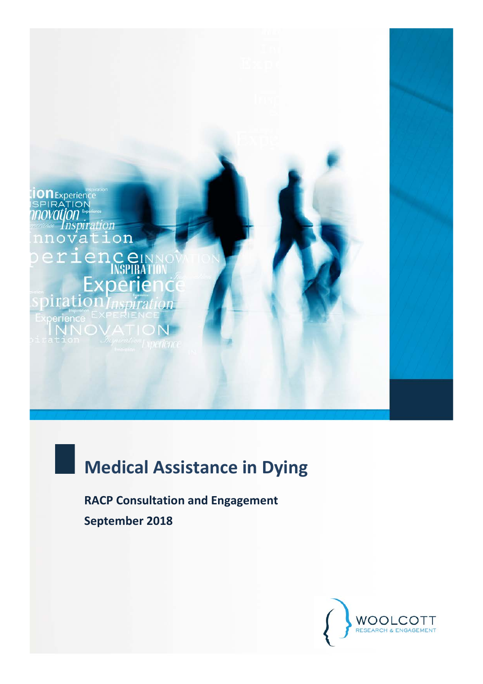

# **Medical Assistance in Dying**

**RACP Consultation and Engagement September 2018**

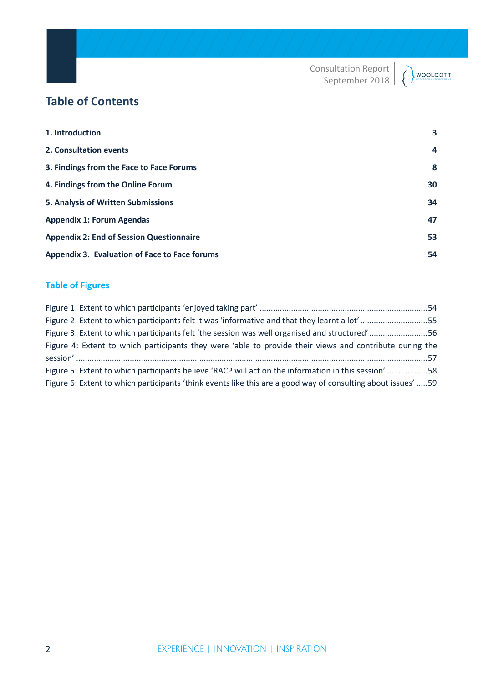Consultation Report WOOLCOTT  $\overline{(\ }$ September 2018

# **Table of Contents**

| 1. Introduction<br>2. Consultation events<br>3. Findings from the Face to Face Forums<br>4. Findings from the Online Forum<br>5. Analysis of Written Submissions<br><b>Appendix 1: Forum Agendas</b><br><b>Appendix 2: End of Session Questionnaire</b><br>Appendix 3. Evaluation of Face to Face forums |    |
|----------------------------------------------------------------------------------------------------------------------------------------------------------------------------------------------------------------------------------------------------------------------------------------------------------|----|
|                                                                                                                                                                                                                                                                                                          | 3  |
|                                                                                                                                                                                                                                                                                                          | 4  |
|                                                                                                                                                                                                                                                                                                          | 8  |
|                                                                                                                                                                                                                                                                                                          | 30 |
|                                                                                                                                                                                                                                                                                                          | 34 |
|                                                                                                                                                                                                                                                                                                          | 47 |
|                                                                                                                                                                                                                                                                                                          | 53 |
|                                                                                                                                                                                                                                                                                                          | 54 |

# **Table of Figures**

| Figure 2: Extent to which participants felt it was 'informative and that they learnt a lot'55                 |  |
|---------------------------------------------------------------------------------------------------------------|--|
| Figure 3: Extent to which participants felt 'the session was well organised and structured'56                 |  |
| Figure 4: Extent to which participants they were 'able to provide their views and contribute during the       |  |
|                                                                                                               |  |
| Figure 5: Extent to which participants believe 'RACP will act on the information in this session' 58          |  |
| Figure 6: Extent to which participants 'think events like this are a good way of consulting about issues'  59 |  |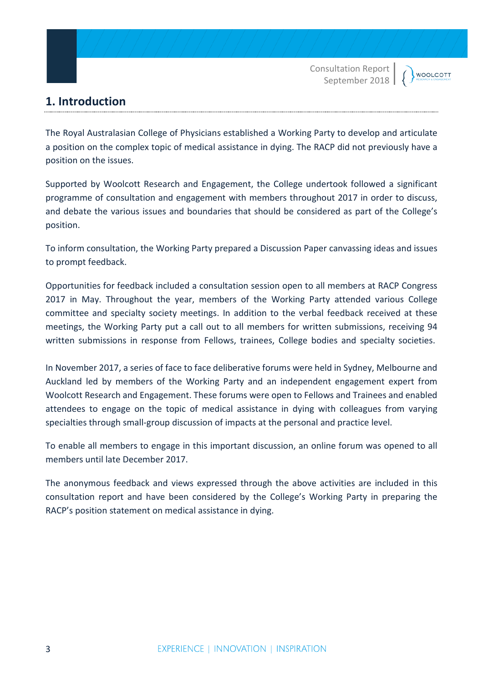# **1. Introduction**

The Royal Australasian College of Physicians established a Working Party to develop and articulate a position on the complex topic of medical assistance in dying. The RACP did not previously have a position on the issues.

Supported by Woolcott Research and Engagement, the College undertook followed a significant programme of consultation and engagement with members throughout 2017 in order to discuss, and debate the various issues and boundaries that should be considered as part of the College's position.

To inform consultation, the Working Party prepared a Discussion Paper canvassing ideas and issues to prompt feedback.

Opportunities for feedback included a consultation session open to all members at RACP Congress 2017 in May. Throughout the year, members of the Working Party attended various College committee and specialty society meetings. In addition to the verbal feedback received at these meetings, the Working Party put a call out to all members for written submissions, receiving 94 written submissions in response from Fellows, trainees, College bodies and specialty societies.

In November 2017, a series of face to face deliberative forums were held in Sydney, Melbourne and Auckland led by members of the Working Party and an independent engagement expert from Woolcott Research and Engagement. These forums were open to Fellows and Trainees and enabled attendees to engage on the topic of medical assistance in dying with colleagues from varying specialties through small-group discussion of impacts at the personal and practice level.

To enable all members to engage in this important discussion, an online forum was opened to all members until late December 2017.

The anonymous feedback and views expressed through the above activities are included in this consultation report and have been considered by the College's Working Party in preparing the RACP's position statement on medical assistance in dying.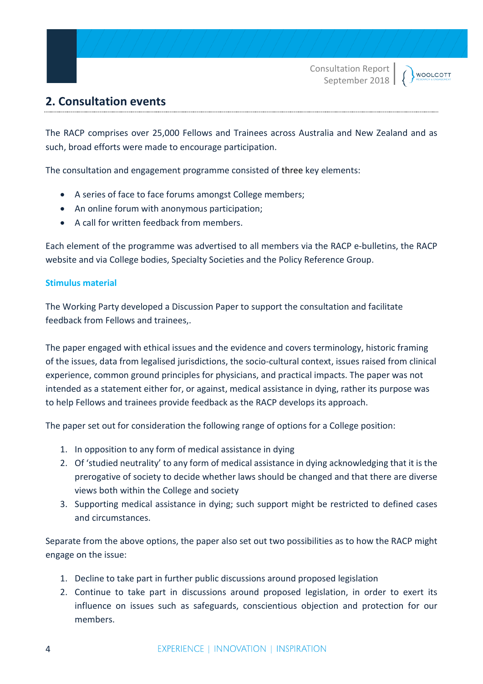# **2. Consultation events**

The RACP comprises over 25,000 Fellows and Trainees across Australia and New Zealand and as such, broad efforts were made to encourage participation.

The consultation and engagement programme consisted of three key elements:

- A series of face to face forums amongst College members;
- An online forum with anonymous participation;
- A call for written feedback from members.

Each element of the programme was advertised to all members via the RACP e-bulletins, the RACP website and via College bodies, Specialty Societies and the Policy Reference Group.

#### **Stimulus material**

The Working Party developed a Discussion Paper to support the consultation and facilitate feedback from Fellows and trainees,.

The paper engaged with ethical issues and the evidence and covers terminology, historic framing of the issues, data from legalised jurisdictions, the socio-cultural context, issues raised from clinical experience, common ground principles for physicians, and practical impacts. The paper was not intended as a statement either for, or against, medical assistance in dying, rather its purpose was to help Fellows and trainees provide feedback as the RACP develops its approach.

The paper set out for consideration the following range of options for a College position:

- 1. In opposition to any form of medical assistance in dying
- 2. Of 'studied neutrality' to any form of medical assistance in dying acknowledging that it is the prerogative of society to decide whether laws should be changed and that there are diverse views both within the College and society
- 3. Supporting medical assistance in dying; such support might be restricted to defined cases and circumstances.

Separate from the above options, the paper also set out two possibilities as to how the RACP might engage on the issue:

- 1. Decline to take part in further public discussions around proposed legislation
- 2. Continue to take part in discussions around proposed legislation, in order to exert its influence on issues such as safeguards, conscientious objection and protection for our members.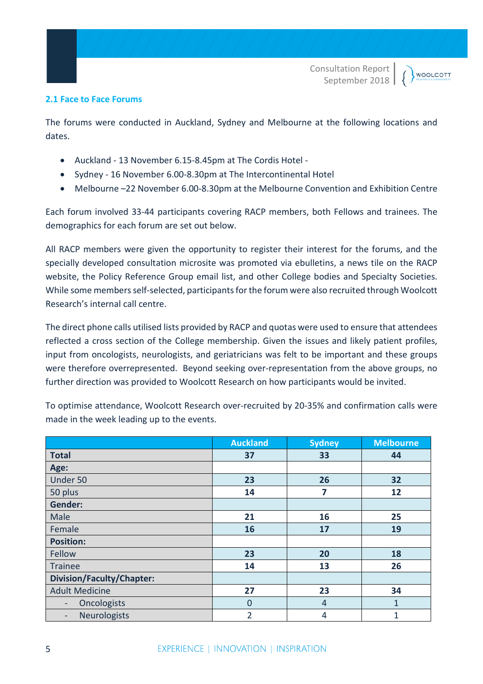#### **2.1 Face to Face Forums**

The forums were conducted in Auckland, Sydney and Melbourne at the following locations and dates.

- Auckland 13 November 6.15-8.45pm at The Cordis Hotel -
- Sydney 16 November 6.00-8.30pm at The Intercontinental Hotel
- Melbourne –22 November 6.00-8.30pm at the Melbourne Convention and Exhibition Centre

Each forum involved 33-44 participants covering RACP members, both Fellows and trainees. The demographics for each forum are set out below.

All RACP members were given the opportunity to register their interest for the forums, and the specially developed consultation microsite was promoted via ebulletins, a news tile on the RACP website, the Policy Reference Group email list, and other College bodies and Specialty Societies. While some members self-selected, participants for the forum were also recruited through Woolcott Research's internal call centre.

The direct phone calls utilised lists provided by RACP and quotas were used to ensure that attendees reflected a cross section of the College membership. Given the issues and likely patient profiles, input from oncologists, neurologists, and geriatricians was felt to be important and these groups were therefore overrepresented. Beyond seeking over-representation from the above groups, no further direction was provided to Woolcott Research on how participants would be invited.

|                                  | <b>Auckland</b> | <b>Sydney</b>  | <b>Melbourne</b> |
|----------------------------------|-----------------|----------------|------------------|
| <b>Total</b>                     | 37              | 33             | 44               |
| Age:                             |                 |                |                  |
| Under 50                         | 23              | 26             | 32               |
| 50 plus                          | 14              | 7              | 12               |
| <b>Gender:</b>                   |                 |                |                  |
| Male                             | 21              | 16             | 25               |
| Female                           | 16              | 17             | 19               |
| <b>Position:</b>                 |                 |                |                  |
| Fellow                           | 23              | 20             | 18               |
| <b>Trainee</b>                   | 14              | 13             | 26               |
| <b>Division/Faculty/Chapter:</b> |                 |                |                  |
| <b>Adult Medicine</b>            | 27              | 23             | 34               |
| <b>Oncologists</b>               | $\overline{0}$  | $\overline{4}$ | $\mathbf{1}$     |
| Neurologists<br>-                | $\overline{2}$  | 4              | $\mathbf{1}$     |

To optimise attendance, Woolcott Research over-recruited by 20-35% and confirmation calls were made in the week leading up to the events.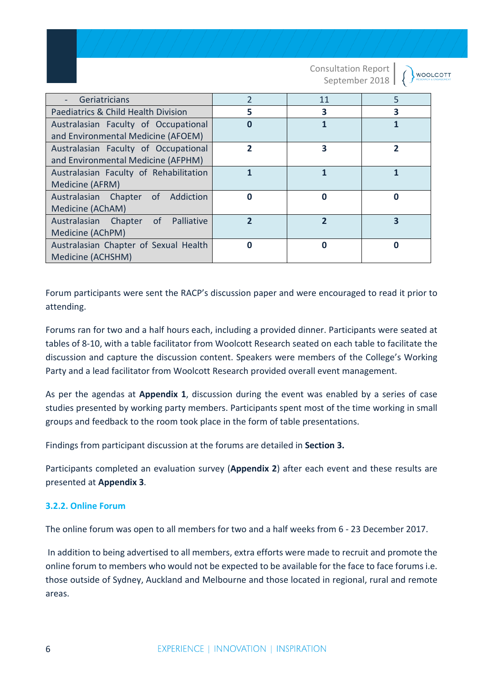|                                           |                         | <b>Consultation Report</b><br>September 2018 |          | <b>WOOLCOTT</b> |
|-------------------------------------------|-------------------------|----------------------------------------------|----------|-----------------|
| Geriatricians                             | $\overline{2}$          | 11                                           | 5        |                 |
| Paediatrics & Child Health Division       | 5                       | 3                                            | 3        |                 |
| Australasian Faculty of Occupational      | $\Omega$                |                                              | 1        |                 |
| and Environmental Medicine (AFOEM)        |                         |                                              |          |                 |
| Australasian Faculty of Occupational      | $\overline{2}$          | 3                                            | 2        |                 |
| and Environmental Medicine (AFPHM)        |                         |                                              |          |                 |
| Australasian Faculty of Rehabilitation    | 1                       |                                              |          |                 |
| Medicine (AFRM)                           |                         |                                              |          |                 |
| Addiction<br>Australasian Chapter<br>of . | $\Omega$                | Ω                                            | $\Omega$ |                 |
| Medicine (AChAM)                          |                         |                                              |          |                 |
| Palliative<br>Australasian Chapter of     | $\overline{\mathbf{z}}$ | $\overline{\mathbf{z}}$                      | 3        |                 |
| Medicine (AChPM)                          |                         |                                              |          |                 |
| Australasian Chapter of Sexual Health     | 0                       | ი                                            | 0        |                 |
| Medicine (ACHSHM)                         |                         |                                              |          |                 |

Forum participants were sent the RACP's discussion paper and were encouraged to read it prior to attending.

Forums ran for two and a half hours each, including a provided dinner. Participants were seated at tables of 8-10, with a table facilitator from Woolcott Research seated on each table to facilitate the discussion and capture the discussion content. Speakers were members of the College's Working Party and a lead facilitator from Woolcott Research provided overall event management.

As per the agendas at **Appendix 1**, discussion during the event was enabled by a series of case studies presented by working party members. Participants spent most of the time working in small groups and feedback to the room took place in the form of table presentations.

Findings from participant discussion at the forums are detailed in **Section 3.**

Participants completed an evaluation survey (**Appendix 2**) after each event and these results are presented at **Appendix 3**.

### **3.2.2. Online Forum**

The online forum was open to all members for two and a half weeks from 6 - 23 December 2017.

In addition to being advertised to all members, extra efforts were made to recruit and promote the online forum to members who would not be expected to be available for the face to face forums i.e. those outside of Sydney, Auckland and Melbourne and those located in regional, rural and remote areas.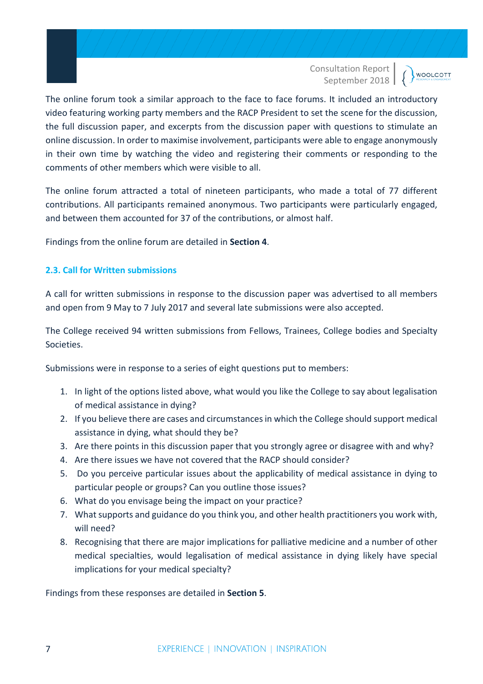**WOOLCOTT** 

The online forum took a similar approach to the face to face forums. It included an introductory video featuring working party members and the RACP President to set the scene for the discussion, the full discussion paper, and excerpts from the discussion paper with questions to stimulate an online discussion. In order to maximise involvement, participants were able to engage anonymously in their own time by watching the video and registering their comments or responding to the comments of other members which were visible to all.

The online forum attracted a total of nineteen participants, who made a total of 77 different contributions. All participants remained anonymous. Two participants were particularly engaged, and between them accounted for 37 of the contributions, or almost half.

Findings from the online forum are detailed in **Section 4**.

### **2.3. Call for Written submissions**

A call for written submissions in response to the discussion paper was advertised to all members and open from 9 May to 7 July 2017 and several late submissions were also accepted.

The College received 94 written submissions from Fellows, Trainees, College bodies and Specialty Societies.

Submissions were in response to a series of eight questions put to members:

- 1. In light of the options listed above, what would you like the College to say about legalisation of medical assistance in dying?
- 2. If you believe there are cases and circumstances in which the College should support medical assistance in dying, what should they be?
- 3. Are there points in this discussion paper that you strongly agree or disagree with and why?
- 4. Are there issues we have not covered that the RACP should consider?
- 5. Do you perceive particular issues about the applicability of medical assistance in dying to particular people or groups? Can you outline those issues?
- 6. What do you envisage being the impact on your practice?
- 7. What supports and guidance do you think you, and other health practitioners you work with, will need?
- 8. Recognising that there are major implications for palliative medicine and a number of other medical specialties, would legalisation of medical assistance in dying likely have special implications for your medical specialty?

Findings from these responses are detailed in **Section 5**.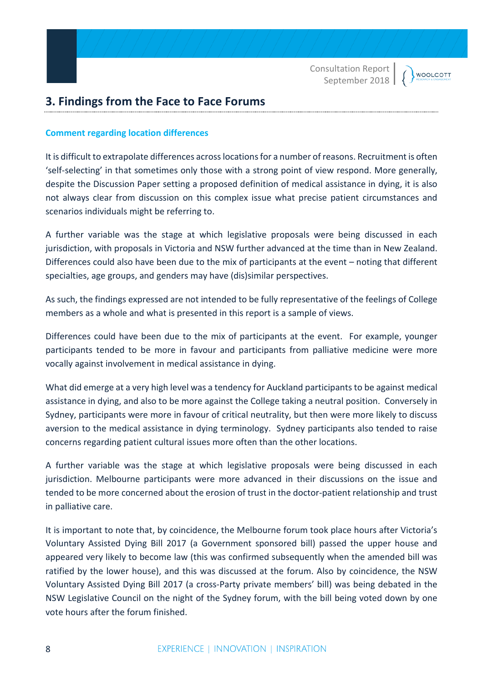**WOOLCOTT** 

# **3. Findings from the Face to Face Forums**

#### **Comment regarding location differences**

It is difficult to extrapolate differences across locationsfor a number of reasons. Recruitment is often 'self-selecting' in that sometimes only those with a strong point of view respond. More generally, despite the Discussion Paper setting a proposed definition of medical assistance in dying, it is also not always clear from discussion on this complex issue what precise patient circumstances and scenarios individuals might be referring to.

A further variable was the stage at which legislative proposals were being discussed in each jurisdiction, with proposals in Victoria and NSW further advanced at the time than in New Zealand. Differences could also have been due to the mix of participants at the event – noting that different specialties, age groups, and genders may have (dis)similar perspectives.

As such, the findings expressed are not intended to be fully representative of the feelings of College members as a whole and what is presented in this report is a sample of views.

Differences could have been due to the mix of participants at the event. For example, younger participants tended to be more in favour and participants from palliative medicine were more vocally against involvement in medical assistance in dying.

What did emerge at a very high level was a tendency for Auckland participants to be against medical assistance in dying, and also to be more against the College taking a neutral position. Conversely in Sydney, participants were more in favour of critical neutrality, but then were more likely to discuss aversion to the medical assistance in dying terminology. Sydney participants also tended to raise concerns regarding patient cultural issues more often than the other locations.

A further variable was the stage at which legislative proposals were being discussed in each jurisdiction. Melbourne participants were more advanced in their discussions on the issue and tended to be more concerned about the erosion of trust in the doctor-patient relationship and trust in palliative care.

It is important to note that, by coincidence, the Melbourne forum took place hours after Victoria's Voluntary Assisted Dying Bill 2017 (a Government sponsored bill) passed the upper house and appeared very likely to become law (this was confirmed subsequently when the amended bill was ratified by the lower house), and this was discussed at the forum. Also by coincidence, the NSW Voluntary Assisted Dying Bill 2017 (a cross-Party private members' bill) was being debated in the NSW Legislative Council on the night of the Sydney forum, with the bill being voted down by one vote hours after the forum finished.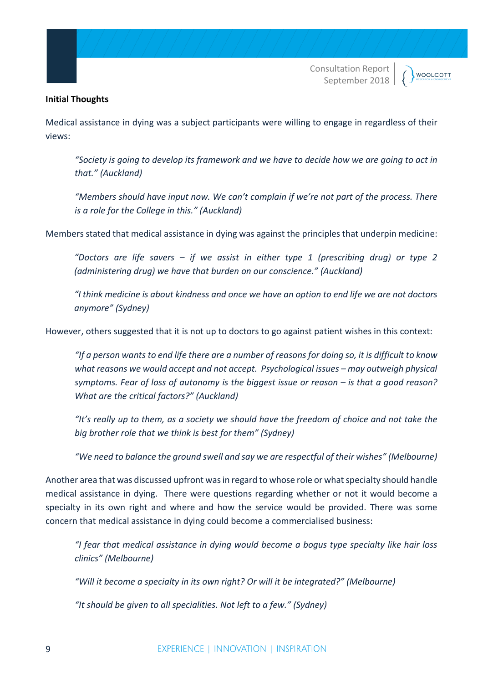#### **Initial Thoughts**

Medical assistance in dying was a subject participants were willing to engage in regardless of their views:

*"Society is going to develop its framework and we have to decide how we are going to act in that." (Auckland)*

*"Members should have input now. We can't complain if we're not part of the process. There is a role for the College in this." (Auckland)*

Members stated that medical assistance in dying was against the principles that underpin medicine:

*"Doctors are life savers – if we assist in either type 1 (prescribing drug) or type 2 (administering drug) we have that burden on our conscience." (Auckland)*

*"I think medicine is about kindness and once we have an option to end life we are not doctors anymore" (Sydney)*

However, others suggested that it is not up to doctors to go against patient wishes in this context:

*"If a person wants to end life there are a number of reasons for doing so, it is difficult to know what reasons we would accept and not accept. Psychological issues – may outweigh physical symptoms. Fear of loss of autonomy is the biggest issue or reason – is that a good reason? What are the critical factors?" (Auckland)*

*"It's really up to them, as a society we should have the freedom of choice and not take the big brother role that we think is best for them" (Sydney)* 

*"We need to balance the ground swell and say we are respectful of their wishes" (Melbourne)*

Another area that was discussed upfront was in regard to whose role or what specialty should handle medical assistance in dying. There were questions regarding whether or not it would become a specialty in its own right and where and how the service would be provided. There was some concern that medical assistance in dying could become a commercialised business:

*"I fear that medical assistance in dying would become a bogus type specialty like hair loss clinics" (Melbourne)*

*"Will it become a specialty in its own right? Or will it be integrated?" (Melbourne)*

*"It should be given to all specialities. Not left to a few." (Sydney)*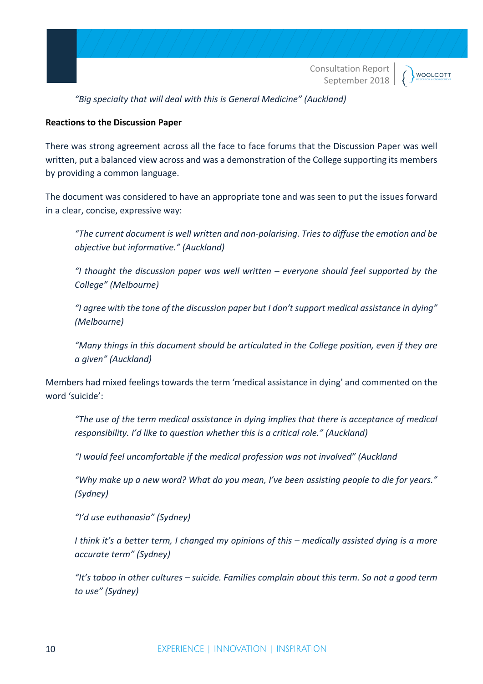

**WOOLCOTT** 

*"Big specialty that will deal with this is General Medicine" (Auckland)*

#### **Reactions to the Discussion Paper**

There was strong agreement across all the face to face forums that the Discussion Paper was well written, put a balanced view across and was a demonstration of the College supporting its members by providing a common language.

The document was considered to have an appropriate tone and was seen to put the issues forward in a clear, concise, expressive way:

*"The current document is well written and non-polarising. Tries to diffuse the emotion and be objective but informative." (Auckland)*

*"I thought the discussion paper was well written – everyone should feel supported by the College" (Melbourne)*

*"I agree with the tone of the discussion paper but I don't support medical assistance in dying" (Melbourne)*

*"Many things in this document should be articulated in the College position, even if they are a given" (Auckland)*

Members had mixed feelings towards the term 'medical assistance in dying' and commented on the word 'suicide':

*"The use of the term medical assistance in dying implies that there is acceptance of medical responsibility. I'd like to question whether this is a critical role." (Auckland)*

*"I would feel uncomfortable if the medical profession was not involved" (Auckland*

*"Why make up a new word? What do you mean, I've been assisting people to die for years." (Sydney)*

*"I'd use euthanasia" (Sydney)*

*I think it's a better term, I changed my opinions of this – medically assisted dying is a more accurate term" (Sydney)*

*"It's taboo in other cultures – suicide. Families complain about this term. So not a good term to use" (Sydney)*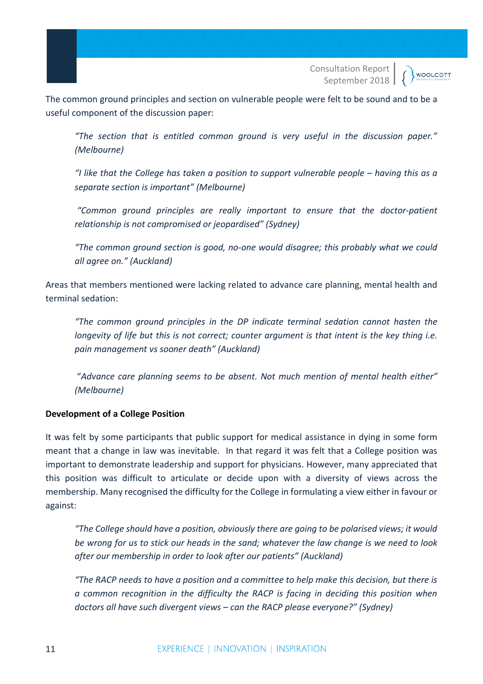**WOOLCOTT** 

The common ground principles and section on vulnerable people were felt to be sound and to be a useful component of the discussion paper:

*"The section that is entitled common ground is very useful in the discussion paper." (Melbourne)*

*"I like that the College has taken a position to support vulnerable people – having this as a separate section is important" (Melbourne)*

*"Common ground principles are really important to ensure that the doctor-patient relationship is not compromised or jeopardised" (Sydney)*

*"The common ground section is good, no-one would disagree; this probably what we could all agree on." (Auckland)*

Areas that members mentioned were lacking related to advance care planning, mental health and terminal sedation:

*"The common ground principles in the DP indicate terminal sedation cannot hasten the longevity of life but this is not correct; counter argument is that intent is the key thing i.e. pain management vs sooner death" (Auckland)*

"*Advance care planning seems to be absent. Not much mention of mental health either" (Melbourne)*

### **Development of a College Position**

It was felt by some participants that public support for medical assistance in dying in some form meant that a change in law was inevitable. In that regard it was felt that a College position was important to demonstrate leadership and support for physicians. However, many appreciated that this position was difficult to articulate or decide upon with a diversity of views across the membership. Many recognised the difficulty for the College in formulating a view either in favour or against:

*"The College should have a position, obviously there are going to be polarised views; it would be wrong for us to stick our heads in the sand; whatever the law change is we need to look after our membership in order to look after our patients" (Auckland)*

*"The RACP needs to have a position and a committee to help make this decision, but there is a common recognition in the difficulty the RACP is facing in deciding this position when doctors all have such divergent views – can the RACP please everyone?" (Sydney)*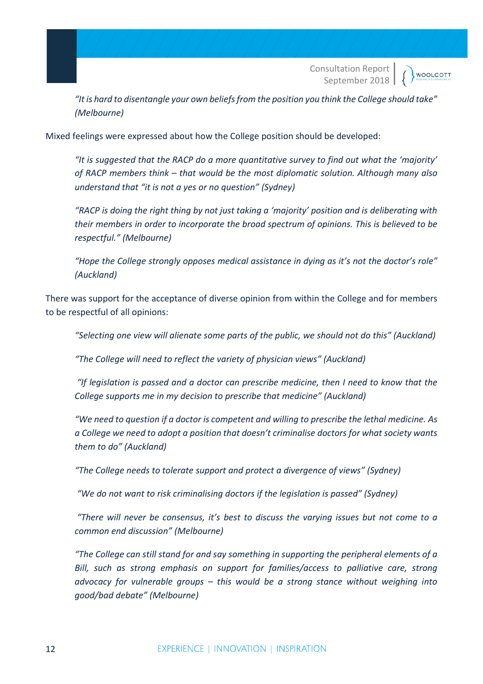**WOOLCOTT** 

*"It is hard to disentangle your own beliefs from the position you think the College should take" (Melbourne)*

Mixed feelings were expressed about how the College position should be developed:

*"It is suggested that the RACP do a more quantitative survey to find out what the 'majority' of RACP members think – that would be the most diplomatic solution. Although many also understand that "it is not a yes or no question" (Sydney)*

*"RACP is doing the right thing by not just taking a 'majority' position and is deliberating with their members in order to incorporate the broad spectrum of opinions. This is believed to be respectful." (Melbourne)*

*"Hope the College strongly opposes medical assistance in dying as it's not the doctor's role" (Auckland)*

There was support for the acceptance of diverse opinion from within the College and for members to be respectful of all opinions:

*"Selecting one view will alienate some parts of the public, we should not do this" (Auckland)*

*"The College will need to reflect the variety of physician views" (Auckland)*

*"If legislation is passed and a doctor can prescribe medicine, then I need to know that the College supports me in my decision to prescribe that medicine" (Auckland)*

*"We need to question if a doctor is competent and willing to prescribe the lethal medicine. As a College we need to adopt a position that doesn't criminalise doctors for what society wants them to do" (Auckland)*

*"The College needs to tolerate support and protect a divergence of views" (Sydney)*

*"We do not want to risk criminalising doctors if the legislation is passed" (Sydney)* 

*"There will never be consensus, it's best to discuss the varying issues but not come to a common end discussion" (Melbourne)*

*"The College can still stand for and say something in supporting the peripheral elements of a Bill, such as strong emphasis on support for families/access to palliative care, strong advocacy for vulnerable groups – this would be a strong stance without weighing into good/bad debate" (Melbourne)*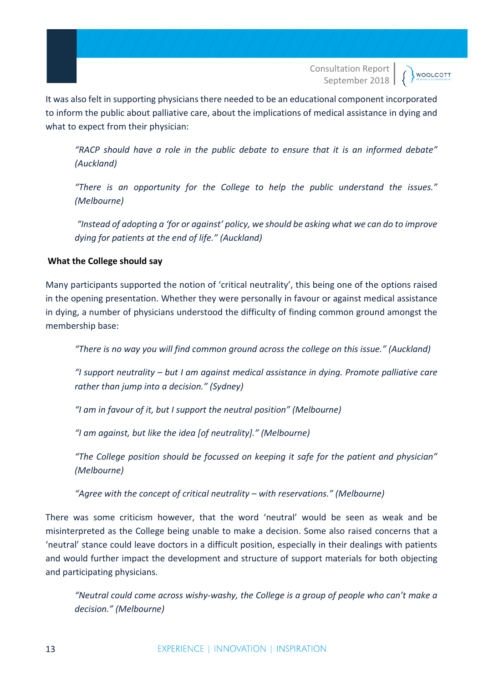**WOOLCOTT** 

It was also felt in supporting physicians there needed to be an educational component incorporated to inform the public about palliative care, about the implications of medical assistance in dying and what to expect from their physician:

*"RACP should have a role in the public debate to ensure that it is an informed debate" (Auckland)*

*"There is an opportunity for the College to help the public understand the issues." (Melbourne)*

*"Instead of adopting a 'for or against' policy, we should be asking what we can do to improve dying for patients at the end of life." (Auckland)*

### **What the College should say**

Many participants supported the notion of 'critical neutrality', this being one of the options raised in the opening presentation. Whether they were personally in favour or against medical assistance in dying, a number of physicians understood the difficulty of finding common ground amongst the membership base:

*"There is no way you will find common ground across the college on this issue." (Auckland)*

*"I support neutrality – but I am against medical assistance in dying. Promote palliative care rather than jump into a decision." (Sydney)*

*"I am in favour of it, but I support the neutral position" (Melbourne)*

*"I am against, but like the idea [of neutrality]." (Melbourne)*

*"The College position should be focussed on keeping it safe for the patient and physician" (Melbourne)*

*"Agree with the concept of critical neutrality – with reservations." (Melbourne)*

There was some criticism however, that the word 'neutral' would be seen as weak and be misinterpreted as the College being unable to make a decision. Some also raised concerns that a 'neutral' stance could leave doctors in a difficult position, especially in their dealings with patients and would further impact the development and structure of support materials for both objecting and participating physicians.

*"Neutral could come across wishy-washy, the College is a group of people who can't make a decision." (Melbourne)*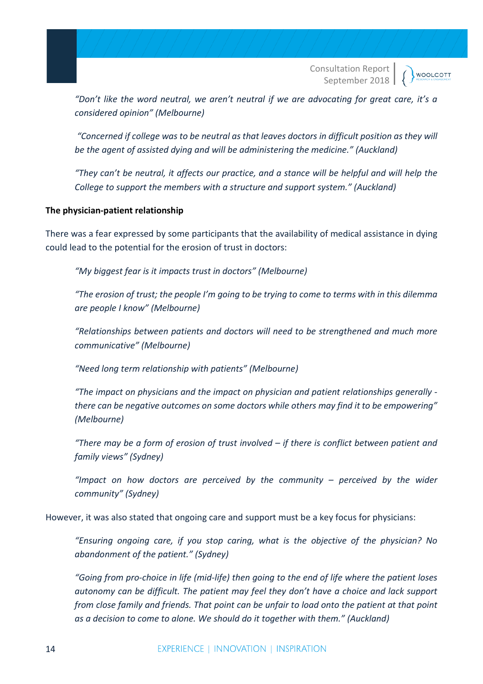**WOOLCOTT** 

*"Don't like the word neutral, we aren't neutral if we are advocating for great care, it's a considered opinion" (Melbourne)*

*"Concerned if college was to be neutral as that leaves doctors in difficult position as they will be the agent of assisted dying and will be administering the medicine." (Auckland)*

*"They can't be neutral, it affects our practice, and a stance will be helpful and will help the College to support the members with a structure and support system." (Auckland)*

#### **The physician-patient relationship**

There was a fear expressed by some participants that the availability of medical assistance in dying could lead to the potential for the erosion of trust in doctors:

*"My biggest fear is it impacts trust in doctors" (Melbourne)*

*"The erosion of trust; the people I'm going to be trying to come to terms with in this dilemma are people I know" (Melbourne)*

*"Relationships between patients and doctors will need to be strengthened and much more communicative" (Melbourne)*

*"Need long term relationship with patients" (Melbourne)*

*"The impact on physicians and the impact on physician and patient relationships generally there can be negative outcomes on some doctors while others may find it to be empowering" (Melbourne)*

*"There may be a form of erosion of trust involved – if there is conflict between patient and family views" (Sydney)*

*"Impact on how doctors are perceived by the community – perceived by the wider community" (Sydney)*

However, it was also stated that ongoing care and support must be a key focus for physicians:

*"Ensuring ongoing care, if you stop caring, what is the objective of the physician? No abandonment of the patient." (Sydney)*

*"Going from pro-choice in life (mid-life) then going to the end of life where the patient loses autonomy can be difficult. The patient may feel they don't have a choice and lack support from close family and friends. That point can be unfair to load onto the patient at that point as a decision to come to alone. We should do it together with them." (Auckland)*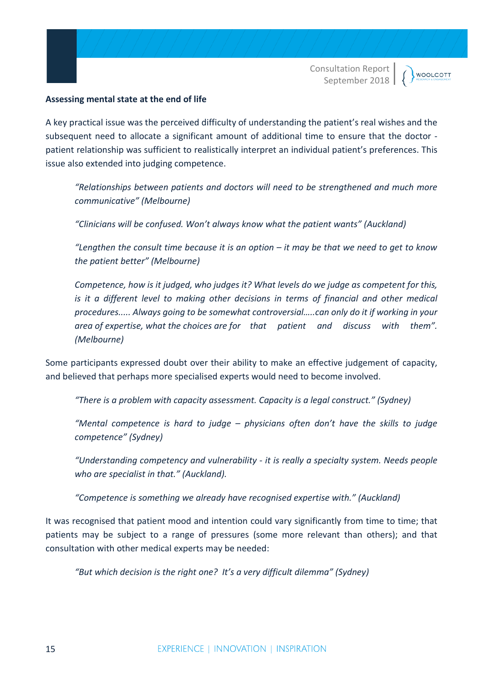#### **Assessing mental state at the end of life**

A key practical issue was the perceived difficulty of understanding the patient's real wishes and the subsequent need to allocate a significant amount of additional time to ensure that the doctor patient relationship was sufficient to realistically interpret an individual patient's preferences. This issue also extended into judging competence.

*"Relationships between patients and doctors will need to be strengthened and much more communicative" (Melbourne)*

*"Clinicians will be confused. Won't always know what the patient wants" (Auckland)*

*"Lengthen the consult time because it is an option – it may be that we need to get to know the patient better" (Melbourne)*

*Competence, how is it judged, who judges it? What levels do we judge as competent for this, is it a different level to making other decisions in terms of financial and other medical procedures..... Always going to be somewhat controversial…..can only do it if working in your area of expertise, what the choices are for that patient and discuss with them". (Melbourne)*

Some participants expressed doubt over their ability to make an effective judgement of capacity, and believed that perhaps more specialised experts would need to become involved.

*"There is a problem with capacity assessment. Capacity is a legal construct." (Sydney)*

*"Mental competence is hard to judge – physicians often don't have the skills to judge competence" (Sydney)*

*"Understanding competency and vulnerability - it is really a specialty system. Needs people who are specialist in that." (Auckland).*

*"Competence is something we already have recognised expertise with." (Auckland)*

It was recognised that patient mood and intention could vary significantly from time to time; that patients may be subject to a range of pressures (some more relevant than others); and that consultation with other medical experts may be needed:

*"But which decision is the right one? It's a very difficult dilemma" (Sydney)*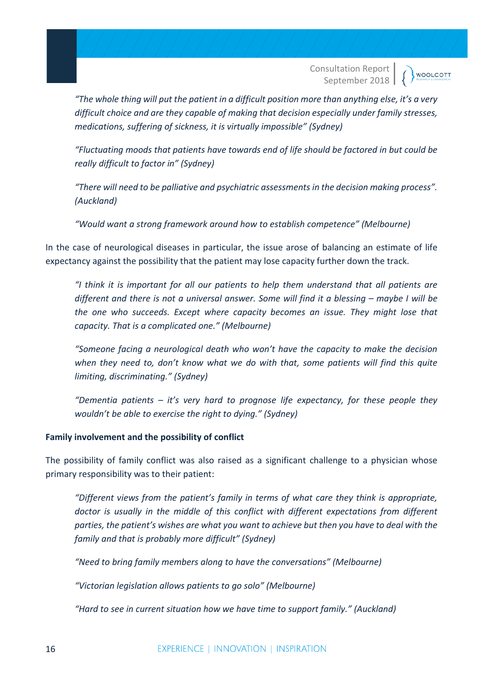*"The whole thing will put the patient in a difficult position more than anything else, it's a very difficult choice and are they capable of making that decision especially under family stresses, medications, suffering of sickness, it is virtually impossible" (Sydney)*

*"Fluctuating moods that patients have towards end of life should be factored in but could be really difficult to factor in" (Sydney)*

*"There will need to be palliative and psychiatric assessments in the decision making process". (Auckland)*

*"Would want a strong framework around how to establish competence" (Melbourne)*

In the case of neurological diseases in particular, the issue arose of balancing an estimate of life expectancy against the possibility that the patient may lose capacity further down the track.

*"I think it is important for all our patients to help them understand that all patients are different and there is not a universal answer. Some will find it a blessing – maybe I will be the one who succeeds. Except where capacity becomes an issue. They might lose that capacity. That is a complicated one." (Melbourne)*

*"Someone facing a neurological death who won't have the capacity to make the decision when they need to, don't know what we do with that, some patients will find this quite limiting, discriminating." (Sydney)*

*"Dementia patients – it's very hard to prognose life expectancy, for these people they wouldn't be able to exercise the right to dying." (Sydney)*

#### **Family involvement and the possibility of conflict**

The possibility of family conflict was also raised as a significant challenge to a physician whose primary responsibility was to their patient:

*"Different views from the patient's family in terms of what care they think is appropriate, doctor is usually in the middle of this conflict with different expectations from different parties, the patient's wishes are what you want to achieve but then you have to deal with the family and that is probably more difficult" (Sydney)*

*"Need to bring family members along to have the conversations" (Melbourne)*

*"Victorian legislation allows patients to go solo" (Melbourne)*

*"Hard to see in current situation how we have time to support family." (Auckland)*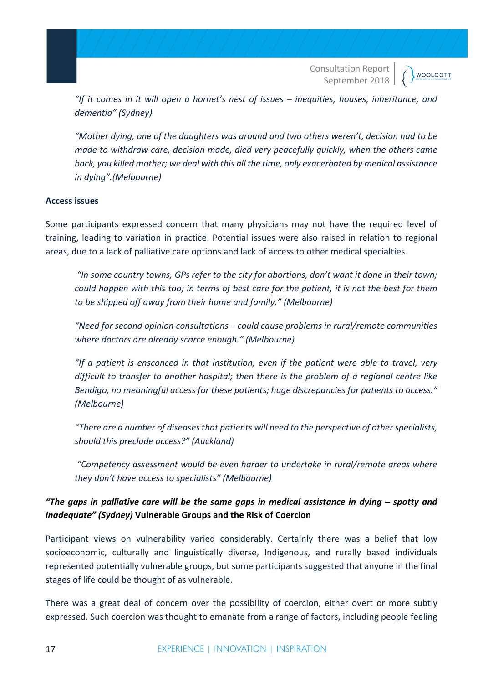*"If it comes in it will open a hornet's nest of issues – inequities, houses, inheritance, and dementia" (Sydney)*

*"Mother dying, one of the daughters was around and two others weren't, decision had to be made to withdraw care, decision made, died very peacefully quickly, when the others came back, you killed mother; we deal with this all the time, only exacerbated by medical assistance in dying".(Melbourne)*

#### **Access issues**

Some participants expressed concern that many physicians may not have the required level of training, leading to variation in practice. Potential issues were also raised in relation to regional areas, due to a lack of palliative care options and lack of access to other medical specialties.

*"In some country towns, GPs refer to the city for abortions, don't want it done in their town; could happen with this too; in terms of best care for the patient, it is not the best for them to be shipped off away from their home and family." (Melbourne)*

*"Need for second opinion consultations – could cause problems in rural/remote communities where doctors are already scarce enough." (Melbourne)*

*"If a patient is ensconced in that institution, even if the patient were able to travel, very difficult to transfer to another hospital; then there is the problem of a regional centre like Bendigo, no meaningful access for these patients; huge discrepancies for patients to access." (Melbourne)*

*"There are a number of diseases that patients will need to the perspective of other specialists, should this preclude access?" (Auckland)*

*"Competency assessment would be even harder to undertake in rural/remote areas where they don't have access to specialists" (Melbourne)*

# *"The gaps in palliative care will be the same gaps in medical assistance in dying – spotty and inadequate" (Sydney)* **Vulnerable Groups and the Risk of Coercion**

Participant views on vulnerability varied considerably. Certainly there was a belief that low socioeconomic, culturally and linguistically diverse, Indigenous, and rurally based individuals represented potentially vulnerable groups, but some participants suggested that anyone in the final stages of life could be thought of as vulnerable.

There was a great deal of concern over the possibility of coercion, either overt or more subtly expressed. Such coercion was thought to emanate from a range of factors, including people feeling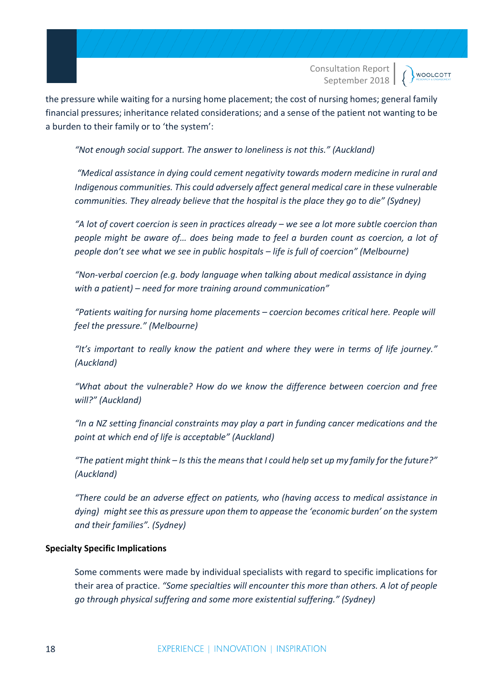**WOOLCOTT** 

the pressure while waiting for a nursing home placement; the cost of nursing homes; general family financial pressures; inheritance related considerations; and a sense of the patient not wanting to be a burden to their family or to 'the system':

*"Not enough social support. The answer to loneliness is not this." (Auckland)*

*"Medical assistance in dying could cement negativity towards modern medicine in rural and Indigenous communities. This could adversely affect general medical care in these vulnerable communities. They already believe that the hospital is the place they go to die" (Sydney)*

*"A lot of covert coercion is seen in practices already – we see a lot more subtle coercion than people might be aware of… does being made to feel a burden count as coercion, a lot of people don't see what we see in public hospitals – life is full of coercion" (Melbourne)*

*"Non-verbal coercion (e.g. body language when talking about medical assistance in dying with a patient) – need for more training around communication"*

*"Patients waiting for nursing home placements – coercion becomes critical here. People will feel the pressure." (Melbourne)*

*"It's important to really know the patient and where they were in terms of life journey." (Auckland)*

*"What about the vulnerable? How do we know the difference between coercion and free will?" (Auckland)*

*"In a NZ setting financial constraints may play a part in funding cancer medications and the point at which end of life is acceptable" (Auckland)*

*"The patient might think – Is this the means that I could help set up my family for the future?" (Auckland)*

*"There could be an adverse effect on patients, who (having access to medical assistance in dying) might see this as pressure upon them to appease the 'economic burden' on the system and their families". (Sydney)*

#### **Specialty Specific Implications**

Some comments were made by individual specialists with regard to specific implications for their area of practice. *"Some specialties will encounter this more than others. A lot of people go through physical suffering and some more existential suffering." (Sydney)*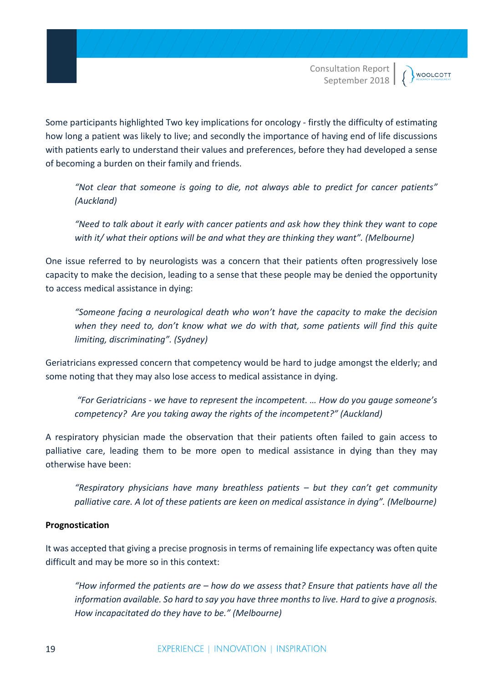Some participants highlighted Two key implications for oncology - firstly the difficulty of estimating how long a patient was likely to live; and secondly the importance of having end of life discussions with patients early to understand their values and preferences, before they had developed a sense of becoming a burden on their family and friends.

*"Not clear that someone is going to die, not always able to predict for cancer patients" (Auckland)*

*"Need to talk about it early with cancer patients and ask how they think they want to cope with it/ what their options will be and what they are thinking they want". (Melbourne)*

One issue referred to by neurologists was a concern that their patients often progressively lose capacity to make the decision, leading to a sense that these people may be denied the opportunity to access medical assistance in dying:

*"Someone facing a neurological death who won't have the capacity to make the decision when they need to, don't know what we do with that, some patients will find this quite limiting, discriminating". (Sydney)*

Geriatricians expressed concern that competency would be hard to judge amongst the elderly; and some noting that they may also lose access to medical assistance in dying.

*"For Geriatricians - we have to represent the incompetent. … How do you gauge someone's competency? Are you taking away the rights of the incompetent?" (Auckland)*

A respiratory physician made the observation that their patients often failed to gain access to palliative care, leading them to be more open to medical assistance in dying than they may otherwise have been:

*"Respiratory physicians have many breathless patients – but they can't get community palliative care. A lot of these patients are keen on medical assistance in dying". (Melbourne)*

### **Prognostication**

It was accepted that giving a precise prognosis in terms of remaining life expectancy was often quite difficult and may be more so in this context:

*"How informed the patients are – how do we assess that? Ensure that patients have all the information available. So hard to say you have three months to live. Hard to give a prognosis. How incapacitated do they have to be." (Melbourne)*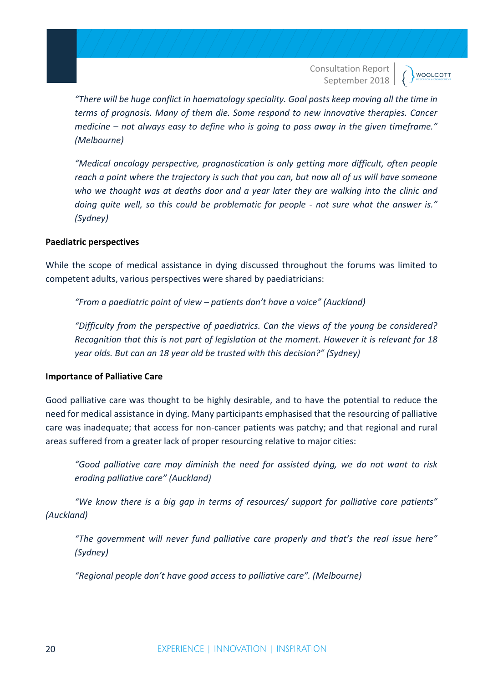**WOOLCOTT** 

*"There will be huge conflict in haematology speciality. Goal posts keep moving all the time in terms of prognosis. Many of them die. Some respond to new innovative therapies. Cancer medicine – not always easy to define who is going to pass away in the given timeframe." (Melbourne)*

*"Medical oncology perspective, prognostication is only getting more difficult, often people reach a point where the trajectory is such that you can, but now all of us will have someone who we thought was at deaths door and a year later they are walking into the clinic and doing quite well, so this could be problematic for people - not sure what the answer is." (Sydney)*

#### **Paediatric perspectives**

While the scope of medical assistance in dying discussed throughout the forums was limited to competent adults, various perspectives were shared by paediatricians:

*"From a paediatric point of view – patients don't have a voice" (Auckland)*

*"Difficulty from the perspective of paediatrics. Can the views of the young be considered? Recognition that this is not part of legislation at the moment. However it is relevant for 18 year olds. But can an 18 year old be trusted with this decision?" (Sydney)*

#### **Importance of Palliative Care**

Good palliative care was thought to be highly desirable, and to have the potential to reduce the need for medical assistance in dying. Many participants emphasised that the resourcing of palliative care was inadequate; that access for non-cancer patients was patchy; and that regional and rural areas suffered from a greater lack of proper resourcing relative to major cities:

*"Good palliative care may diminish the need for assisted dying, we do not want to risk eroding palliative care" (Auckland)*

*"We know there is a big gap in terms of resources/ support for palliative care patients" (Auckland)*

*"The government will never fund palliative care properly and that's the real issue here" (Sydney)*

*"Regional people don't have good access to palliative care". (Melbourne)*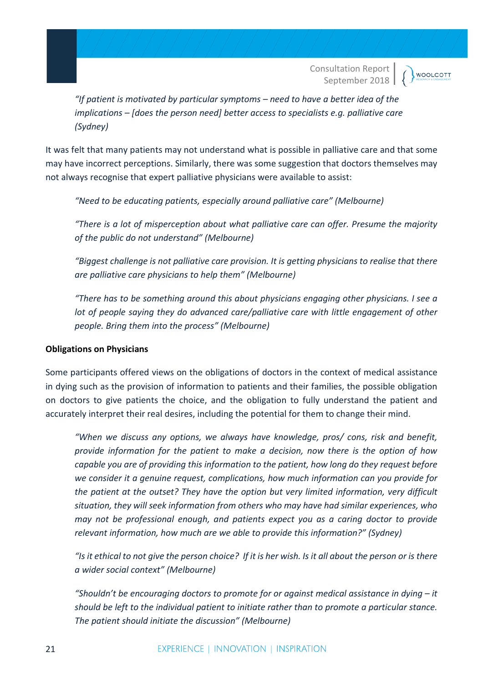**WOOLCOTT** 

*"If patient is motivated by particular symptoms – need to have a better idea of the implications – [does the person need] better access to specialists e.g. palliative care (Sydney)*

It was felt that many patients may not understand what is possible in palliative care and that some may have incorrect perceptions. Similarly, there was some suggestion that doctors themselves may not always recognise that expert palliative physicians were available to assist:

*"Need to be educating patients, especially around palliative care" (Melbourne)*

*"There is a lot of misperception about what palliative care can offer. Presume the majority of the public do not understand" (Melbourne)*

 *"Biggest challenge is not palliative care provision. It is getting physicians to realise that there are palliative care physicians to help them" (Melbourne)*

*"There has to be something around this about physicians engaging other physicians. I see a lot of people saying they do advanced care/palliative care with little engagement of other people. Bring them into the process" (Melbourne)*

#### **Obligations on Physicians**

Some participants offered views on the obligations of doctors in the context of medical assistance in dying such as the provision of information to patients and their families, the possible obligation on doctors to give patients the choice, and the obligation to fully understand the patient and accurately interpret their real desires, including the potential for them to change their mind.

*"When we discuss any options, we always have knowledge, pros/ cons, risk and benefit, provide information for the patient to make a decision, now there is the option of how capable you are of providing this information to the patient, how long do they request before we consider it a genuine request, complications, how much information can you provide for the patient at the outset? They have the option but very limited information, very difficult situation, they will seek information from others who may have had similar experiences, who may not be professional enough, and patients expect you as a caring doctor to provide relevant information, how much are we able to provide this information?" (Sydney)*

*"Is it ethical to not give the person choice? If it is her wish. Is it all about the person or is there a wider social context" (Melbourne)*

*"Shouldn't be encouraging doctors to promote for or against medical assistance in dying – it should be left to the individual patient to initiate rather than to promote a particular stance. The patient should initiate the discussion" (Melbourne)*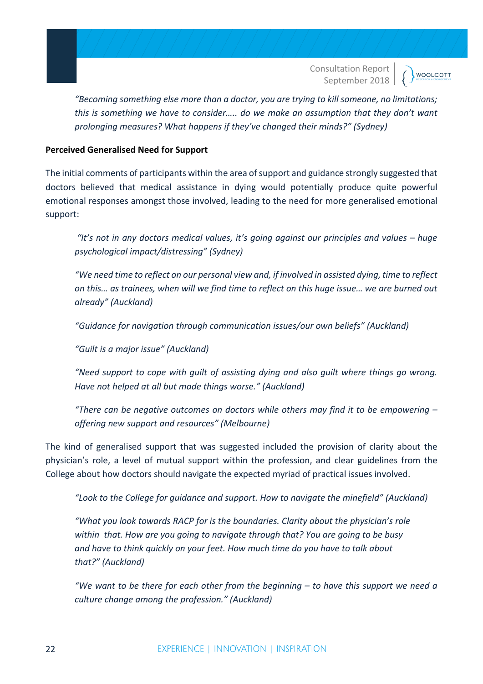*"Becoming something else more than a doctor, you are trying to kill someone, no limitations; this is something we have to consider….. do we make an assumption that they don't want prolonging measures? What happens if they've changed their minds?" (Sydney)*

#### **Perceived Generalised Need for Support**

The initial comments of participants within the area of support and guidance strongly suggested that doctors believed that medical assistance in dying would potentially produce quite powerful emotional responses amongst those involved, leading to the need for more generalised emotional support:

*"It's not in any doctors medical values, it's going against our principles and values – huge psychological impact/distressing" (Sydney)*

*"We need time to reflect on our personal view and, if involved in assisted dying, time to reflect on this… as trainees, when will we find time to reflect on this huge issue… we are burned out already" (Auckland)*

*"Guidance for navigation through communication issues/our own beliefs" (Auckland)*

*"Guilt is a major issue" (Auckland)*

*"Need support to cope with guilt of assisting dying and also guilt where things go wrong. Have not helped at all but made things worse." (Auckland)*

*"There can be negative outcomes on doctors while others may find it to be empowering – offering new support and resources" (Melbourne)*

The kind of generalised support that was suggested included the provision of clarity about the physician's role, a level of mutual support within the profession, and clear guidelines from the College about how doctors should navigate the expected myriad of practical issues involved.

*"Look to the College for guidance and support. How to navigate the minefield" (Auckland)*

*"What you look towards RACP for is the boundaries. Clarity about the physician's role within that. How are you going to navigate through that? You are going to be busy and have to think quickly on your feet. How much time do you have to talk about that?" (Auckland)*

*"We want to be there for each other from the beginning – to have this support we need a culture change among the profession." (Auckland)*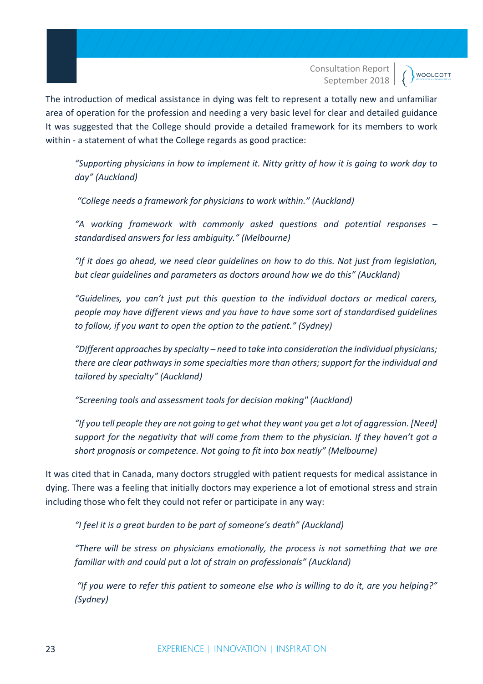**WOOLCOTT** 

The introduction of medical assistance in dying was felt to represent a totally new and unfamiliar area of operation for the profession and needing a very basic level for clear and detailed guidance It was suggested that the College should provide a detailed framework for its members to work within - a statement of what the College regards as good practice:

*"Supporting physicians in how to implement it. Nitty gritty of how it is going to work day to day" (Auckland)*

*"College needs a framework for physicians to work within." (Auckland)*

*"A working framework with commonly asked questions and potential responses – standardised answers for less ambiguity." (Melbourne)*

*"If it does go ahead, we need clear guidelines on how to do this. Not just from legislation, but clear guidelines and parameters as doctors around how we do this" (Auckland)*

*"Guidelines, you can't just put this question to the individual doctors or medical carers, people may have different views and you have to have some sort of standardised guidelines to follow, if you want to open the option to the patient." (Sydney)*

*"Different approaches by specialty – need to take into consideration the individual physicians; there are clear pathways in some specialties more than others; support for the individual and tailored by specialty" (Auckland)*

*"Screening tools and assessment tools for decision making" (Auckland)*

*"If you tell people they are not going to get what they want you get a lot of aggression. [Need] support for the negativity that will come from them to the physician. If they haven't got a short prognosis or competence. Not going to fit into box neatly" (Melbourne)*

It was cited that in Canada, many doctors struggled with patient requests for medical assistance in dying. There was a feeling that initially doctors may experience a lot of emotional stress and strain including those who felt they could not refer or participate in any way:

*"I feel it is a great burden to be part of someone's death" (Auckland)*

*"There will be stress on physicians emotionally, the process is not something that we are familiar with and could put a lot of strain on professionals" (Auckland)*

*"If you were to refer this patient to someone else who is willing to do it, are you helping?" (Sydney)*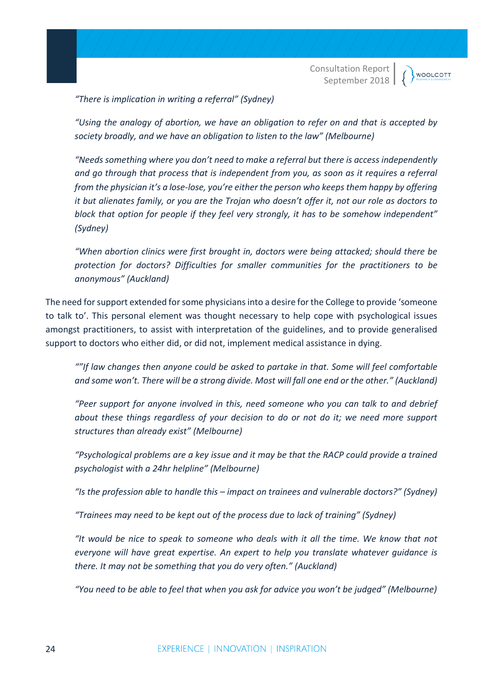*"There is implication in writing a referral" (Sydney)*

*"Using the analogy of abortion, we have an obligation to refer on and that is accepted by society broadly, and we have an obligation to listen to the law" (Melbourne)*

*"Needs something where you don't need to make a referral but there is access independently and go through that process that is independent from you, as soon as it requires a referral from the physician it's a lose-lose, you're either the person who keeps them happy by offering it but alienates family, or you are the Trojan who doesn't offer it, not our role as doctors to block that option for people if they feel very strongly, it has to be somehow independent" (Sydney)*

*"When abortion clinics were first brought in, doctors were being attacked; should there be protection for doctors? Difficulties for smaller communities for the practitioners to be anonymous" (Auckland)*

The need for support extended for some physicians into a desire for the College to provide 'someone to talk to'. This personal element was thought necessary to help cope with psychological issues amongst practitioners, to assist with interpretation of the guidelines, and to provide generalised support to doctors who either did, or did not, implement medical assistance in dying.

*""If law changes then anyone could be asked to partake in that. Some will feel comfortable and some won't. There will be a strong divide. Most will fall one end or the other." (Auckland)*

*"Peer support for anyone involved in this, need someone who you can talk to and debrief about these things regardless of your decision to do or not do it; we need more support structures than already exist" (Melbourne)*

*"Psychological problems are a key issue and it may be that the RACP could provide a trained psychologist with a 24hr helpline" (Melbourne)*

*"Is the profession able to handle this – impact on trainees and vulnerable doctors?" (Sydney)*

*"Trainees may need to be kept out of the process due to lack of training" (Sydney)*

*"It would be nice to speak to someone who deals with it all the time. We know that not everyone will have great expertise. An expert to help you translate whatever guidance is there. It may not be something that you do very often." (Auckland)*

*"You need to be able to feel that when you ask for advice you won't be judged" (Melbourne)*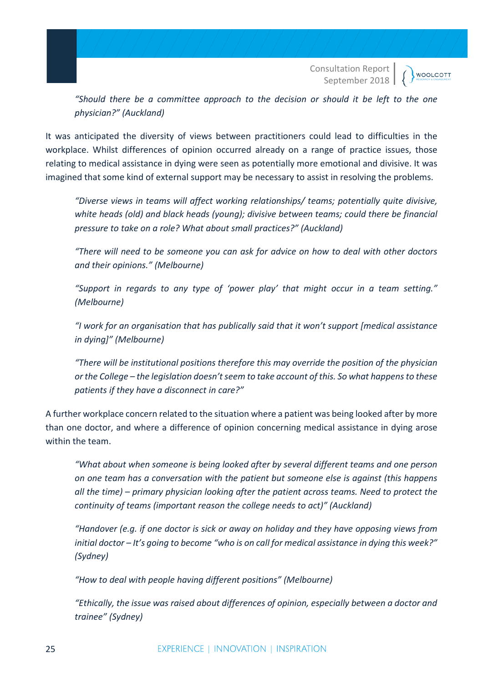**WOOLCOTT** 

*"Should there be a committee approach to the decision or should it be left to the one physician?" (Auckland)*

It was anticipated the diversity of views between practitioners could lead to difficulties in the workplace. Whilst differences of opinion occurred already on a range of practice issues, those relating to medical assistance in dying were seen as potentially more emotional and divisive. It was imagined that some kind of external support may be necessary to assist in resolving the problems.

*"Diverse views in teams will affect working relationships/ teams; potentially quite divisive, white heads (old) and black heads (young); divisive between teams; could there be financial pressure to take on a role? What about small practices?" (Auckland)*

*"There will need to be someone you can ask for advice on how to deal with other doctors and their opinions." (Melbourne)*

*"Support in regards to any type of 'power play' that might occur in a team setting." (Melbourne)*

*"I work for an organisation that has publically said that it won't support [medical assistance in dying]" (Melbourne)*

*"There will be institutional positions therefore this may override the position of the physician or the College – the legislation doesn't seem to take account of this. So what happens to these patients if they have a disconnect in care?"*

A further workplace concern related to the situation where a patient was being looked after by more than one doctor, and where a difference of opinion concerning medical assistance in dying arose within the team.

*"What about when someone is being looked after by several different teams and one person on one team has a conversation with the patient but someone else is against (this happens all the time) – primary physician looking after the patient across teams. Need to protect the continuity of teams (important reason the college needs to act)" (Auckland)*

*"Handover (e.g. if one doctor is sick or away on holiday and they have opposing views from initial doctor – It's going to become "who is on call for medical assistance in dying this week?" (Sydney)*

*"How to deal with people having different positions" (Melbourne)*

*"Ethically, the issue was raised about differences of opinion, especially between a doctor and trainee" (Sydney)*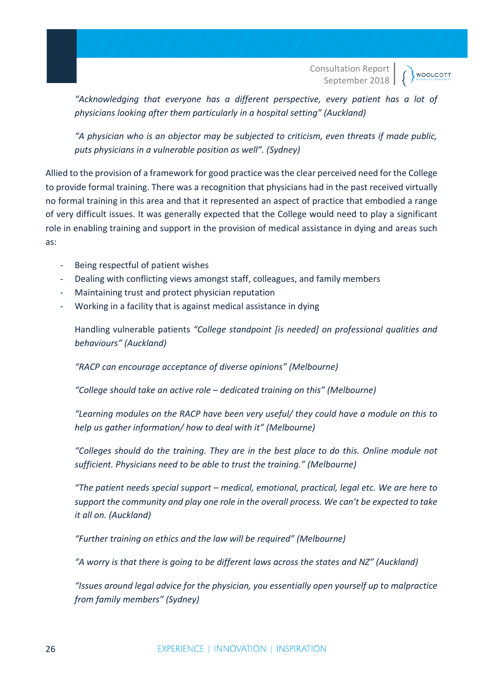**WOOLCOTT** 

*"Acknowledging that everyone has a different perspective, every patient has a lot of physicians looking after them particularly in a hospital setting" (Auckland)*

*"A physician who is an objector may be subjected to criticism, even threats if made public, puts physicians in a vulnerable position as well". (Sydney)*

Allied to the provision of a framework for good practice was the clear perceived need for the College to provide formal training. There was a recognition that physicians had in the past received virtually no formal training in this area and that it represented an aspect of practice that embodied a range of very difficult issues. It was generally expected that the College would need to play a significant role in enabling training and support in the provision of medical assistance in dying and areas such as:

- Being respectful of patient wishes
- Dealing with conflicting views amongst staff, colleagues, and family members
- Maintaining trust and protect physician reputation
- Working in a facility that is against medical assistance in dying

Handling vulnerable patients *"College standpoint [is needed] on professional qualities and behaviours" (Auckland)*

*"RACP can encourage acceptance of diverse opinions" (Melbourne)*

*"College should take an active role – dedicated training on this" (Melbourne)*

*"Learning modules on the RACP have been very useful/ they could have a module on this to help us gather information/ how to deal with it" (Melbourne)*

*"Colleges should do the training. They are in the best place to do this. Online module not sufficient. Physicians need to be able to trust the training." (Melbourne)*

*"The patient needs special support – medical, emotional, practical, legal etc. We are here to support the community and play one role in the overall process. We can't be expected to take it all on. (Auckland)*

*"Further training on ethics and the law will be required" (Melbourne)*

*"A worry is that there is going to be different laws across the states and NZ" (Auckland)*

*"Issues around legal advice for the physician, you essentially open yourself up to malpractice from family members" (Sydney)*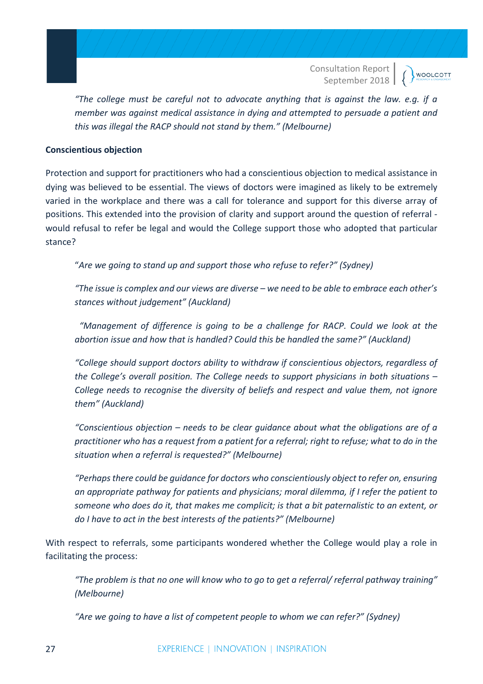*"The college must be careful not to advocate anything that is against the law. e.g. if a member was against medical assistance in dying and attempted to persuade a patient and this was illegal the RACP should not stand by them." (Melbourne)*

#### **Conscientious objection**

Protection and support for practitioners who had a conscientious objection to medical assistance in dying was believed to be essential. The views of doctors were imagined as likely to be extremely varied in the workplace and there was a call for tolerance and support for this diverse array of positions. This extended into the provision of clarity and support around the question of referral would refusal to refer be legal and would the College support those who adopted that particular stance?

"*Are we going to stand up and support those who refuse to refer?" (Sydney)*

*"The issue is complex and our views are diverse – we need to be able to embrace each other's stances without judgement" (Auckland)*

 *"Management of difference is going to be a challenge for RACP. Could we look at the abortion issue and how that is handled? Could this be handled the same?" (Auckland)*

*"College should support doctors ability to withdraw if conscientious objectors, regardless of the College's overall position. The College needs to support physicians in both situations – College needs to recognise the diversity of beliefs and respect and value them, not ignore them" (Auckland)*

*"Conscientious objection – needs to be clear guidance about what the obligations are of a practitioner who has a request from a patient for a referral; right to refuse; what to do in the situation when a referral is requested?" (Melbourne)*

*"Perhaps there could be guidance for doctors who conscientiously object to refer on, ensuring an appropriate pathway for patients and physicians; moral dilemma, if I refer the patient to someone who does do it, that makes me complicit; is that a bit paternalistic to an extent, or do I have to act in the best interests of the patients?" (Melbourne)*

With respect to referrals, some participants wondered whether the College would play a role in facilitating the process:

*"The problem is that no one will know who to go to get a referral/ referral pathway training" (Melbourne)*

*"Are we going to have a list of competent people to whom we can refer?" (Sydney)*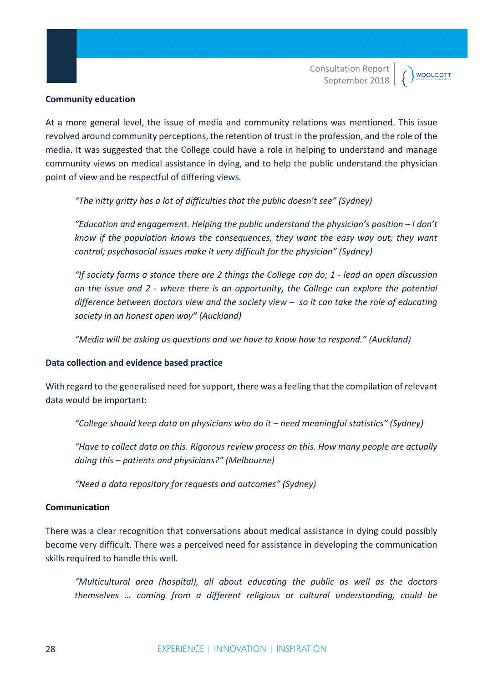#### **Community education**

At a more general level, the issue of media and community relations was mentioned. This issue revolved around community perceptions, the retention of trust in the profession, and the role of the media. It was suggested that the College could have a role in helping to understand and manage community views on medical assistance in dying, and to help the public understand the physician point of view and be respectful of differing views.

*"The nitty gritty has a lot of difficulties that the public doesn't see" (Sydney)*

*"Education and engagement. Helping the public understand the physician's position – I don't know if the population knows the consequences, they want the easy way out; they want control; psychosocial issues make it very difficult for the physician" (Sydney)*

*"If society forms a stance there are 2 things the College can do; 1 - lead an open discussion on the issue and 2 - where there is an opportunity, the College can explore the potential difference between doctors view and the society view – so it can take the role of educating society in an honest open way" (Auckland)*

*"Media will be asking us questions and we have to know how to respond." (Auckland)*

#### **Data collection and evidence based practice**

With regard to the generalised need for support, there was a feeling that the compilation of relevant data would be important:

*"College should keep data on physicians who do it – need meaningful statistics" (Sydney)*

*"Have to collect data on this. Rigorous review process on this. How many people are actually doing this – patients and physicians?" (Melbourne)*

*"Need a data repository for requests and outcomes" (Sydney)*

#### **Communication**

There was a clear recognition that conversations about medical assistance in dying could possibly become very difficult. There was a perceived need for assistance in developing the communication skills required to handle this well.

*"Multicultural area (hospital), all about educating the public as well as the doctors themselves … coming from a different religious or cultural understanding, could be*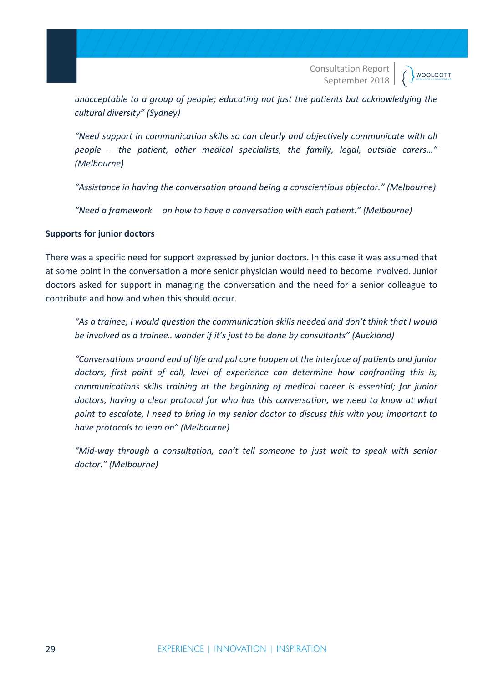**WOOLCOTT** 

*unacceptable to a group of people; educating not just the patients but acknowledging the cultural diversity" (Sydney)*

*"Need support in communication skills so can clearly and objectively communicate with all people – the patient, other medical specialists, the family, legal, outside carers…" (Melbourne)*

*"Assistance in having the conversation around being a conscientious objector." (Melbourne)*

*"Need a framework on how to have a conversation with each patient." (Melbourne)*

#### **Supports for junior doctors**

There was a specific need for support expressed by junior doctors. In this case it was assumed that at some point in the conversation a more senior physician would need to become involved. Junior doctors asked for support in managing the conversation and the need for a senior colleague to contribute and how and when this should occur.

*"As a trainee, I would question the communication skills needed and don't think that I would be involved as a trainee…wonder if it's just to be done by consultants" (Auckland)*

*"Conversations around end of life and pal care happen at the interface of patients and junior doctors, first point of call, level of experience can determine how confronting this is, communications skills training at the beginning of medical career is essential; for junior doctors, having a clear protocol for who has this conversation, we need to know at what point to escalate, I need to bring in my senior doctor to discuss this with you; important to have protocols to lean on" (Melbourne)*

*"Mid-way through a consultation, can't tell someone to just wait to speak with senior doctor." (Melbourne)*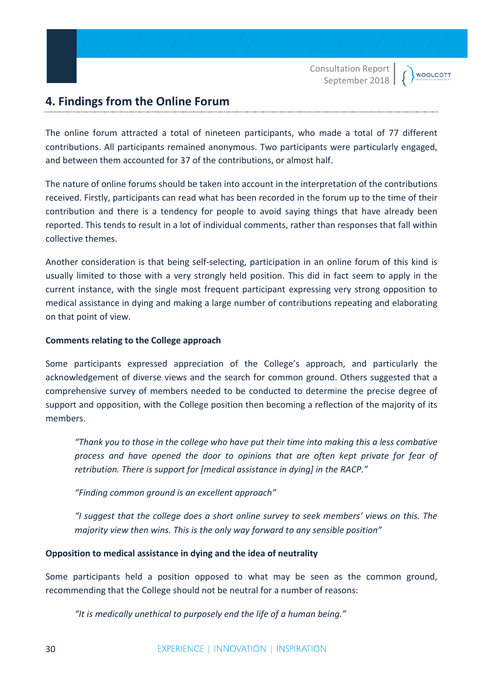**WOOLCOTT** 

# **4. Findings from the Online Forum**

The online forum attracted a total of nineteen participants, who made a total of 77 different contributions. All participants remained anonymous. Two participants were particularly engaged, and between them accounted for 37 of the contributions, or almost half.

The nature of online forums should be taken into account in the interpretation of the contributions received. Firstly, participants can read what has been recorded in the forum up to the time of their contribution and there is a tendency for people to avoid saying things that have already been reported. This tends to result in a lot of individual comments, rather than responses that fall within collective themes.

Another consideration is that being self-selecting, participation in an online forum of this kind is usually limited to those with a very strongly held position. This did in fact seem to apply in the current instance, with the single most frequent participant expressing very strong opposition to medical assistance in dying and making a large number of contributions repeating and elaborating on that point of view.

#### **Comments relating to the College approach**

Some participants expressed appreciation of the College's approach, and particularly the acknowledgement of diverse views and the search for common ground. Others suggested that a comprehensive survey of members needed to be conducted to determine the precise degree of support and opposition, with the College position then becoming a reflection of the majority of its members.

*"Thank you to those in the college who have put their time into making this a less combative process and have opened the door to opinions that are often kept private for fear of retribution. There is support for [medical assistance in dying] in the RACP."*

*"Finding common ground is an excellent approach"*

*"I suggest that the college does a short online survey to seek members' views on this. The majority view then wins. This is the only way forward to any sensible position"*

#### **Opposition to medical assistance in dying and the idea of neutrality**

Some participants held a position opposed to what may be seen as the common ground, recommending that the College should not be neutral for a number of reasons:

*"It is medically unethical to purposely end the life of a human being."*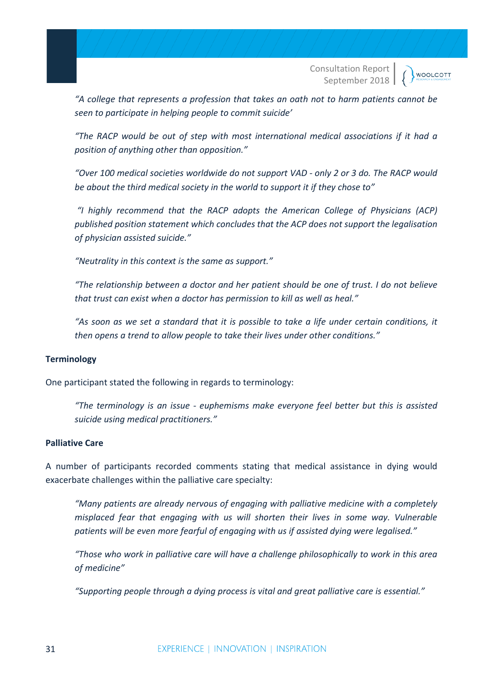**WOOLCOTT** 

*"A college that represents a profession that takes an oath not to harm patients cannot be seen to participate in helping people to commit suicide'*

*"The RACP would be out of step with most international medical associations if it had a position of anything other than opposition."*

*"Over 100 medical societies worldwide do not support VAD - only 2 or 3 do. The RACP would be about the third medical society in the world to support it if they chose to"*

*"I highly recommend that the RACP adopts the American College of Physicians (ACP) published position statement which concludes that the ACP does not support the legalisation of physician assisted suicide."*

*"Neutrality in this context is the same as support."*

*"The relationship between a doctor and her patient should be one of trust. I do not believe that trust can exist when a doctor has permission to kill as well as heal."*

*"As soon as we set a standard that it is possible to take a life under certain conditions, it then opens a trend to allow people to take their lives under other conditions."*

#### **Terminology**

One participant stated the following in regards to terminology:

*"The terminology is an issue - euphemisms make everyone feel better but this is assisted suicide using medical practitioners."*

#### **Palliative Care**

A number of participants recorded comments stating that medical assistance in dying would exacerbate challenges within the palliative care specialty:

*"Many patients are already nervous of engaging with palliative medicine with a completely misplaced fear that engaging with us will shorten their lives in some way. Vulnerable patients will be even more fearful of engaging with us if assisted dying were legalised."* 

*"Those who work in palliative care will have a challenge philosophically to work in this area of medicine"*

*"Supporting people through a dying process is vital and great palliative care is essential."*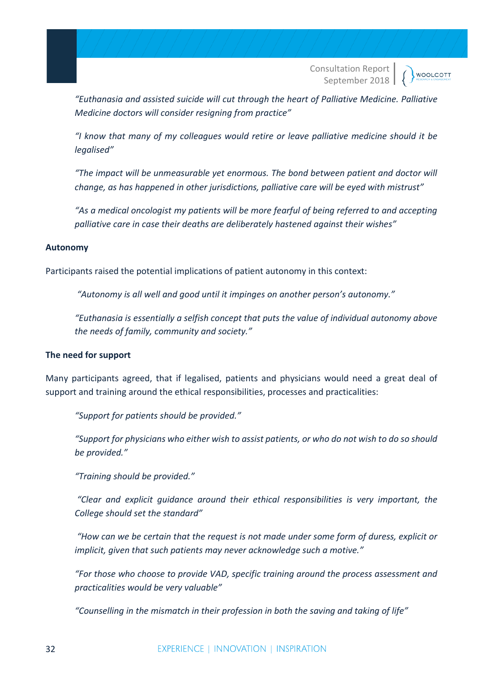**WOOLCOTT** 

*"Euthanasia and assisted suicide will cut through the heart of Palliative Medicine. Palliative Medicine doctors will consider resigning from practice"*

*"I know that many of my colleagues would retire or leave palliative medicine should it be legalised"*

*"The impact will be unmeasurable yet enormous. The bond between patient and doctor will change, as has happened in other jurisdictions, palliative care will be eyed with mistrust"*

*"As a medical oncologist my patients will be more fearful of being referred to and accepting palliative care in case their deaths are deliberately hastened against their wishes"*

#### **Autonomy**

Participants raised the potential implications of patient autonomy in this context:

*"Autonomy is all well and good until it impinges on another person's autonomy."*

*"Euthanasia is essentially a selfish concept that puts the value of individual autonomy above the needs of family, community and society."*

#### **The need for support**

Many participants agreed, that if legalised, patients and physicians would need a great deal of support and training around the ethical responsibilities, processes and practicalities:

*"Support for patients should be provided."*

*"Support for physicians who either wish to assist patients, or who do not wish to do so should be provided."*

*"Training should be provided."*

*"Clear and explicit guidance around their ethical responsibilities is very important, the College should set the standard"*

*"How can we be certain that the request is not made under some form of duress, explicit or implicit, given that such patients may never acknowledge such a motive."* 

*"For those who choose to provide VAD, specific training around the process assessment and practicalities would be very valuable"*

*"Counselling in the mismatch in their profession in both the saving and taking of life"*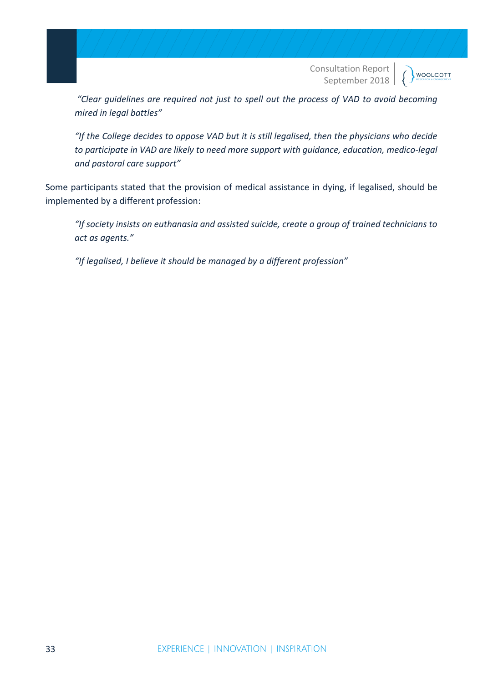**WOOLCOTT** 

*"Clear guidelines are required not just to spell out the process of VAD to avoid becoming mired in legal battles"*

*"If the College decides to oppose VAD but it is still legalised, then the physicians who decide to participate in VAD are likely to need more support with guidance, education, medico-legal and pastoral care support"*

Some participants stated that the provision of medical assistance in dying, if legalised, should be implemented by a different profession:

*"If society insists on euthanasia and assisted suicide, create a group of trained technicians to act as agents."*

*"If legalised, I believe it should be managed by a different profession"*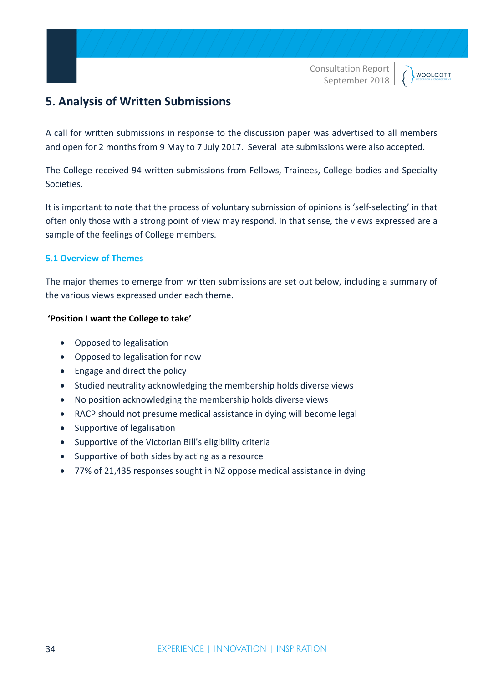**WOOLCOTT** 

# **5. Analysis of Written Submissions**

A call for written submissions in response to the discussion paper was advertised to all members and open for 2 months from 9 May to 7 July 2017. Several late submissions were also accepted.

The College received 94 written submissions from Fellows, Trainees, College bodies and Specialty Societies.

It is important to note that the process of voluntary submission of opinions is 'self-selecting' in that often only those with a strong point of view may respond. In that sense, the views expressed are a sample of the feelings of College members.

#### **5.1 Overview of Themes**

The major themes to emerge from written submissions are set out below, including a summary of the various views expressed under each theme.

#### **'Position I want the College to take'**

- Opposed to legalisation
- Opposed to legalisation for now
- Engage and direct the policy
- Studied neutrality acknowledging the membership holds diverse views
- No position acknowledging the membership holds diverse views
- RACP should not presume medical assistance in dying will become legal
- Supportive of legalisation
- Supportive of the Victorian Bill's eligibility criteria
- Supportive of both sides by acting as a resource
- 77% of 21,435 responses sought in NZ oppose medical assistance in dying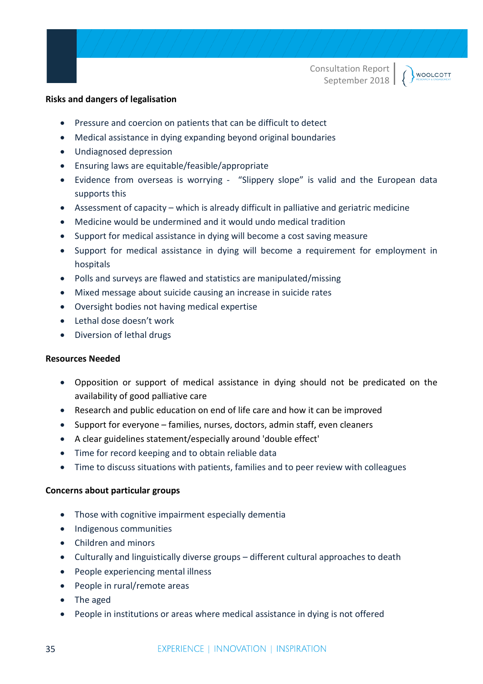#### WOOLCOTT

#### **Risks and dangers of legalisation**

- Pressure and coercion on patients that can be difficult to detect
- Medical assistance in dying expanding beyond original boundaries
- Undiagnosed depression
- Ensuring laws are equitable/feasible/appropriate
- Evidence from overseas is worrying "Slippery slope" is valid and the European data supports this
- Assessment of capacity which is already difficult in palliative and geriatric medicine
- Medicine would be undermined and it would undo medical tradition
- Support for medical assistance in dying will become a cost saving measure
- Support for medical assistance in dying will become a requirement for employment in hospitals
- Polls and surveys are flawed and statistics are manipulated/missing
- Mixed message about suicide causing an increase in suicide rates
- Oversight bodies not having medical expertise
- Lethal dose doesn't work
- Diversion of lethal drugs

#### **Resources Needed**

- Opposition or support of medical assistance in dying should not be predicated on the availability of good palliative care
- Research and public education on end of life care and how it can be improved
- Support for everyone families, nurses, doctors, admin staff, even cleaners
- A clear guidelines statement/especially around 'double effect'
- Time for record keeping and to obtain reliable data
- Time to discuss situations with patients, families and to peer review with colleagues

#### **Concerns about particular groups**

- Those with cognitive impairment especially dementia
- Indigenous communities
- Children and minors
- Culturally and linguistically diverse groups different cultural approaches to death
- People experiencing mental illness
- People in rural/remote areas
- The aged
- People in institutions or areas where medical assistance in dying is not offered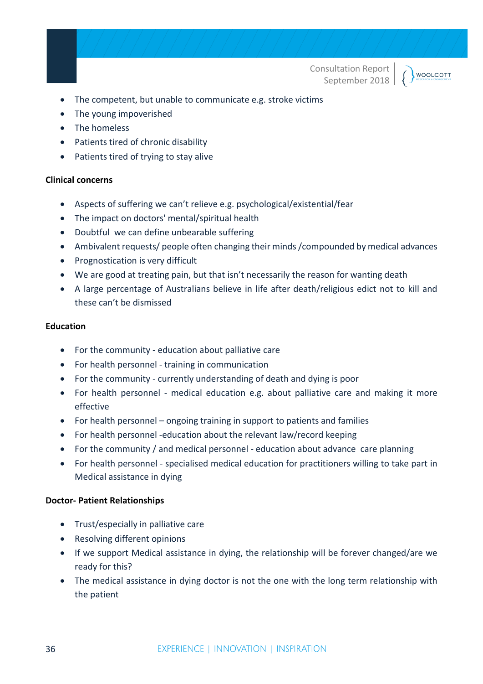WOOLCOTT

• The competent, but unable to communicate e.g. stroke victims

- The young impoverished
- The homeless
- Patients tired of chronic disability
- Patients tired of trying to stay alive

#### **Clinical concerns**

- Aspects of suffering we can't relieve e.g. psychological/existential/fear
- The impact on doctors' mental/spiritual health
- Doubtful we can define unbearable suffering
- Ambivalent requests/ people often changing their minds /compounded by medical advances
- Prognostication is very difficult
- We are good at treating pain, but that isn't necessarily the reason for wanting death
- A large percentage of Australians believe in life after death/religious edict not to kill and these can't be dismissed

#### **Education**

- For the community education about palliative care
- For health personnel training in communication
- For the community currently understanding of death and dying is poor
- For health personnel medical education e.g. about palliative care and making it more effective
- For health personnel ongoing training in support to patients and families
- For health personnel -education about the relevant law/record keeping
- For the community / and medical personnel education about advance care planning
- For health personnel specialised medical education for practitioners willing to take part in Medical assistance in dying

#### **Doctor- Patient Relationships**

- Trust/especially in palliative care
- Resolving different opinions
- If we support Medical assistance in dying, the relationship will be forever changed/are we ready for this?
- The medical assistance in dying doctor is not the one with the long term relationship with the patient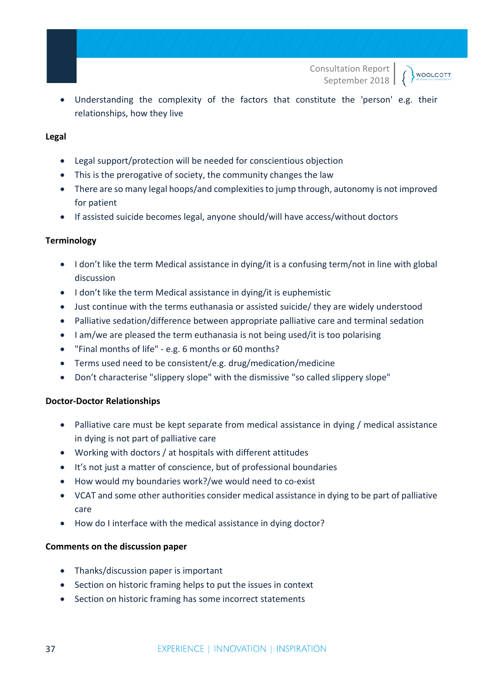**WOOLCOTT** 

• Understanding the complexity of the factors that constitute the 'person' e.g. their relationships, how they live

#### **Legal**

- Legal support/protection will be needed for conscientious objection
- This is the prerogative of society, the community changes the law
- There are so many legal hoops/and complexities to jump through, autonomy is not improved for patient
- If assisted suicide becomes legal, anyone should/will have access/without doctors

#### **Terminology**

- I don't like the term Medical assistance in dying/it is a confusing term/not in line with global discussion
- I don't like the term Medical assistance in dying/it is euphemistic
- Just continue with the terms euthanasia or assisted suicide/ they are widely understood
- Palliative sedation/difference between appropriate palliative care and terminal sedation
- I am/we are pleased the term euthanasia is not being used/it is too polarising
- "Final months of life" e.g. 6 months or 60 months?
- Terms used need to be consistent/e.g. drug/medication/medicine
- Don't characterise "slippery slope" with the dismissive "so called slippery slope"

#### **Doctor-Doctor Relationships**

- Palliative care must be kept separate from medical assistance in dying / medical assistance in dying is not part of palliative care
- Working with doctors / at hospitals with different attitudes
- It's not just a matter of conscience, but of professional boundaries
- How would my boundaries work?/we would need to co-exist
- VCAT and some other authorities consider medical assistance in dying to be part of palliative care
- How do I interface with the medical assistance in dying doctor?

#### **Comments on the discussion paper**

- Thanks/discussion paper is important
- Section on historic framing helps to put the issues in context
- Section on historic framing has some incorrect statements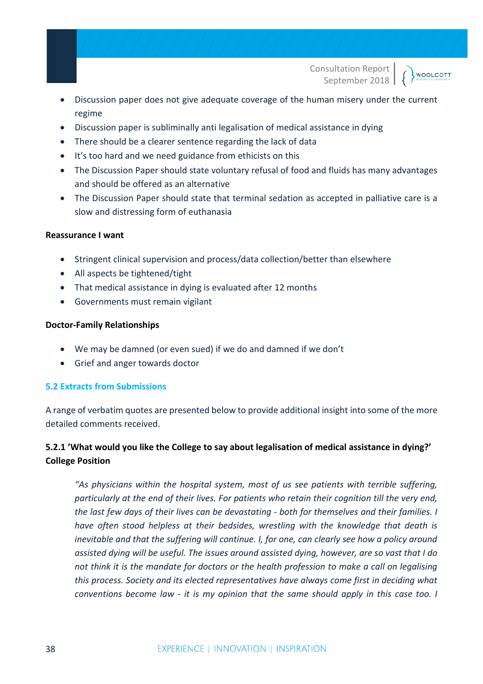**WOOLCOTT** 

- Discussion paper does not give adequate coverage of the human misery under the current regime
- Discussion paper is subliminally anti legalisation of medical assistance in dying
- There should be a clearer sentence regarding the lack of data
- It's too hard and we need guidance from ethicists on this
- The Discussion Paper should state voluntary refusal of food and fluids has many advantages and should be offered as an alternative
- The Discussion Paper should state that terminal sedation as accepted in palliative care is a slow and distressing form of euthanasia

#### **Reassurance I want**

- Stringent clinical supervision and process/data collection/better than elsewhere
- All aspects be tightened/tight
- That medical assistance in dying is evaluated after 12 months
- Governments must remain vigilant

#### **Doctor-Family Relationships**

- We may be damned (or even sued) if we do and damned if we don't
- Grief and anger towards doctor

#### **5.2 Extracts from Submissions**

A range of verbatim quotes are presented below to provide additional insight into some of the more detailed comments received.

# **5.2.1 'What would you like the College to say about legalisation of medical assistance in dying?' College Position**

*"As physicians within the hospital system, most of us see patients with terrible suffering, particularly at the end of their lives. For patients who retain their cognition till the very end, the last few days of their lives can be devastating - both for themselves and their families. I have often stood helpless at their bedsides, wrestling with the knowledge that death is inevitable and that the suffering will continue. I, for one, can clearly see how a policy around assisted dying will be useful. The issues around assisted dying, however, are so vast that I do not think it is the mandate for doctors or the health profession to make a call on legalising this process. Society and its elected representatives have always come first in deciding what conventions become law - it is my opinion that the same should apply in this case too. I*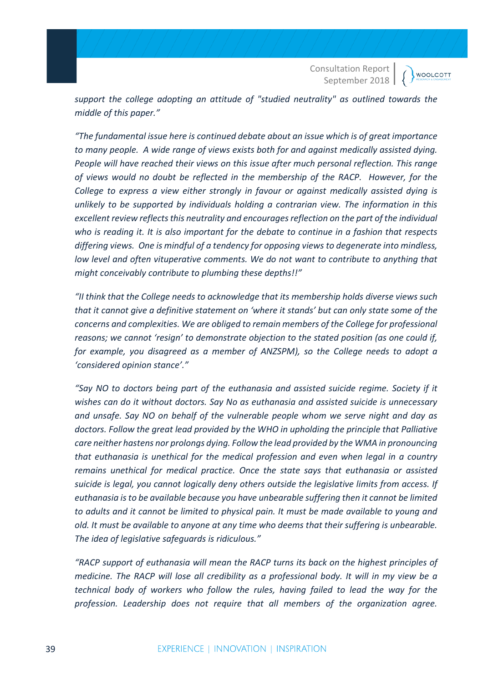**WOOLCOTT** 

*support the college adopting an attitude of "studied neutrality" as outlined towards the middle of this paper."*

*"The fundamental issue here is continued debate about an issue which is of great importance to many people. A wide range of views exists both for and against medically assisted dying. People will have reached their views on this issue after much personal reflection. This range of views would no doubt be reflected in the membership of the RACP. However, for the College to express a view either strongly in favour or against medically assisted dying is unlikely to be supported by individuals holding a contrarian view. The information in this excellent review reflects this neutrality and encourages reflection on the part of the individual who is reading it. It is also important for the debate to continue in a fashion that respects differing views. One is mindful of a tendency for opposing views to degenerate into mindless, low level and often vituperative comments. We do not want to contribute to anything that might conceivably contribute to plumbing these depths!!"*

*"II think that the College needs to acknowledge that its membership holds diverse views such that it cannot give a definitive statement on 'where it stands' but can only state some of the concerns and complexities. We are obliged to remain members of the College for professional reasons; we cannot 'resign' to demonstrate objection to the stated position (as one could if, for example, you disagreed as a member of ANZSPM), so the College needs to adopt a 'considered opinion stance'."*

*"Say NO to doctors being part of the euthanasia and assisted suicide regime. Society if it wishes can do it without doctors. Say No as euthanasia and assisted suicide is unnecessary and unsafe. Say NO on behalf of the vulnerable people whom we serve night and day as doctors. Follow the great lead provided by the WHO in upholding the principle that Palliative care neither hastens nor prolongs dying. Follow the lead provided by the WMA in pronouncing that euthanasia is unethical for the medical profession and even when legal in a country remains unethical for medical practice. Once the state says that euthanasia or assisted suicide is legal, you cannot logically deny others outside the legislative limits from access. If euthanasia is to be available because you have unbearable suffering then it cannot be limited to adults and it cannot be limited to physical pain. It must be made available to young and old. It must be available to anyone at any time who deems that their suffering is unbearable. The idea of legislative safeguards is ridiculous."*

*"RACP support of euthanasia will mean the RACP turns its back on the highest principles of medicine. The RACP will lose all credibility as a professional body. It will in my view be a technical body of workers who follow the rules, having failed to lead the way for the profession. Leadership does not require that all members of the organization agree.*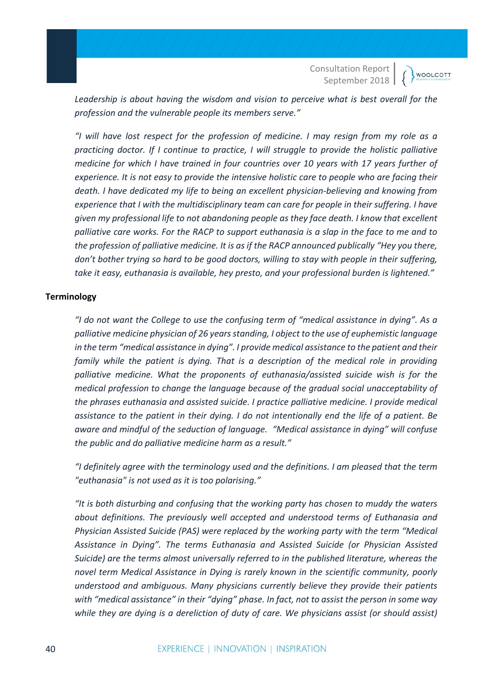**WOOLCOTT** 

*Leadership is about having the wisdom and vision to perceive what is best overall for the profession and the vulnerable people its members serve."*

*"I will have lost respect for the profession of medicine. I may resign from my role as a practicing doctor. If I continue to practice, I will struggle to provide the holistic palliative medicine for which I have trained in four countries over 10 years with 17 years further of experience. It is not easy to provide the intensive holistic care to people who are facing their death. I have dedicated my life to being an excellent physician-believing and knowing from experience that I with the multidisciplinary team can care for people in their suffering. I have given my professional life to not abandoning people as they face death. I know that excellent palliative care works. For the RACP to support euthanasia is a slap in the face to me and to the profession of palliative medicine. It is as if the RACP announced publically "Hey you there, don't bother trying so hard to be good doctors, willing to stay with people in their suffering, take it easy, euthanasia is available, hey presto, and your professional burden is lightened."*

#### **Terminology**

*"I do not want the College to use the confusing term of "medical assistance in dying". As a palliative medicine physician of 26 years standing, I object to the use of euphemistic language in the term "medical assistance in dying". I provide medical assistance to the patient and their family while the patient is dying. That is a description of the medical role in providing palliative medicine. What the proponents of euthanasia/assisted suicide wish is for the medical profession to change the language because of the gradual social unacceptability of the phrases euthanasia and assisted suicide. I practice palliative medicine. I provide medical assistance to the patient in their dying. I do not intentionally end the life of a patient. Be aware and mindful of the seduction of language. "Medical assistance in dying" will confuse the public and do palliative medicine harm as a result."*

*"I definitely agree with the terminology used and the definitions. I am pleased that the term "euthanasia" is not used as it is too polarising."*

*"It is both disturbing and confusing that the working party has chosen to muddy the waters about definitions. The previously well accepted and understood terms of Euthanasia and Physician Assisted Suicide (PAS) were replaced by the working party with the term "Medical Assistance in Dying". The terms Euthanasia and Assisted Suicide (or Physician Assisted Suicide) are the terms almost universally referred to in the published literature, whereas the novel term Medical Assistance in Dying is rarely known in the scientific community, poorly understood and ambiguous. Many physicians currently believe they provide their patients with "medical assistance" in their "dying" phase. In fact, not to assist the person in some way while they are dying is a dereliction of duty of care. We physicians assist (or should assist)*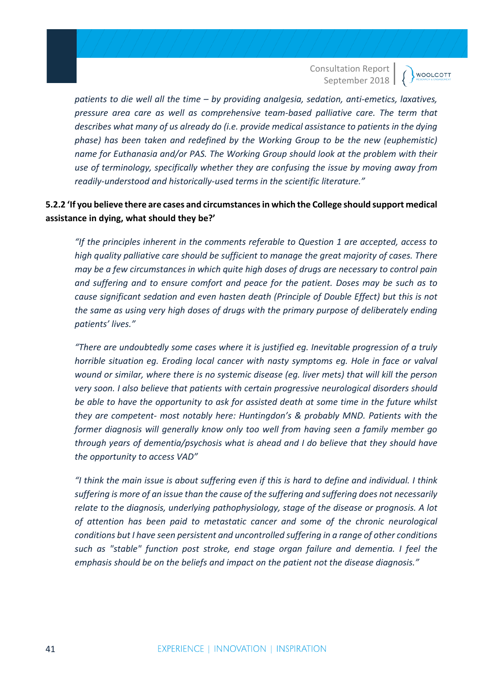*patients to die well all the time – by providing analgesia, sedation, anti-emetics, laxatives, pressure area care as well as comprehensive team-based palliative care. The term that describes what many of us already do (i.e. provide medical assistance to patients in the dying phase) has been taken and redefined by the Working Group to be the new (euphemistic) name for Euthanasia and/or PAS. The Working Group should look at the problem with their use of terminology, specifically whether they are confusing the issue by moving away from readily-understood and historically-used terms in the scientific literature."*

# **5.2.2 'If you believe there are cases and circumstances in which the College should support medical assistance in dying, what should they be?'**

*"If the principles inherent in the comments referable to Question 1 are accepted, access to high quality palliative care should be sufficient to manage the great majority of cases. There may be a few circumstances in which quite high doses of drugs are necessary to control pain and suffering and to ensure comfort and peace for the patient. Doses may be such as to cause significant sedation and even hasten death (Principle of Double Effect) but this is not the same as using very high doses of drugs with the primary purpose of deliberately ending patients' lives."*

*"There are undoubtedly some cases where it is justified eg. Inevitable progression of a truly horrible situation eg. Eroding local cancer with nasty symptoms eg. Hole in face or valval wound or similar, where there is no systemic disease (eg. liver mets) that will kill the person very soon. I also believe that patients with certain progressive neurological disorders should be able to have the opportunity to ask for assisted death at some time in the future whilst they are competent- most notably here: Huntingdon's & probably MND. Patients with the former diagnosis will generally know only too well from having seen a family member go through years of dementia/psychosis what is ahead and I do believe that they should have the opportunity to access VAD"*

*"I think the main issue is about suffering even if this is hard to define and individual. I think suffering is more of an issue than the cause of the suffering and suffering does not necessarily relate to the diagnosis, underlying pathophysiology, stage of the disease or prognosis. A lot of attention has been paid to metastatic cancer and some of the chronic neurological conditions but I have seen persistent and uncontrolled suffering in a range of other conditions such as "stable" function post stroke, end stage organ failure and dementia. I feel the emphasis should be on the beliefs and impact on the patient not the disease diagnosis."*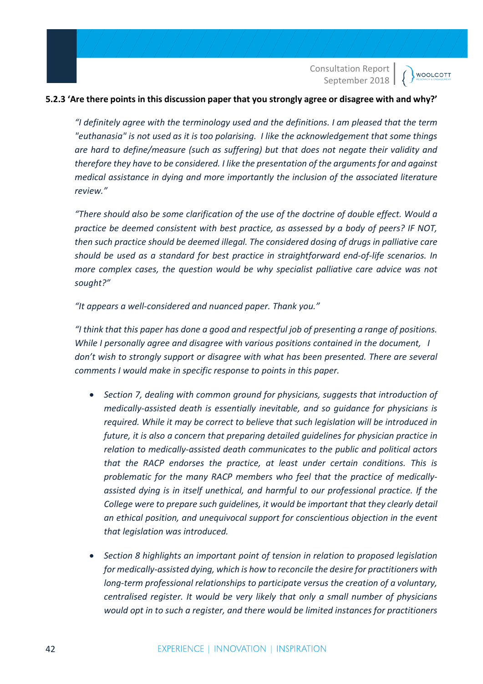#### **5.2.3 'Are there points in this discussion paper that you strongly agree or disagree with and why?'**

*"I definitely agree with the terminology used and the definitions. I am pleased that the term "euthanasia" is not used as it is too polarising. I like the acknowledgement that some things are hard to define/measure (such as suffering) but that does not negate their validity and therefore they have to be considered. I like the presentation of the arguments for and against medical assistance in dying and more importantly the inclusion of the associated literature review."*

*"There should also be some clarification of the use of the doctrine of double effect. Would a practice be deemed consistent with best practice, as assessed by a body of peers? IF NOT, then such practice should be deemed illegal. The considered dosing of drugs in palliative care should be used as a standard for best practice in straightforward end-of-life scenarios. In more complex cases, the question would be why specialist palliative care advice was not sought?"*

*"It appears a well-considered and nuanced paper. Thank you."*

*"I think that this paper has done a good and respectful job of presenting a range of positions. While I personally agree and disagree with various positions contained in the document, I don't wish to strongly support or disagree with what has been presented. There are several comments I would make in specific response to points in this paper.* 

- *Section 7, dealing with common ground for physicians, suggests that introduction of medically-assisted death is essentially inevitable, and so guidance for physicians is required. While it may be correct to believe that such legislation will be introduced in future, it is also a concern that preparing detailed guidelines for physician practice in relation to medically-assisted death communicates to the public and political actors that the RACP endorses the practice, at least under certain conditions. This is problematic for the many RACP members who feel that the practice of medicallyassisted dying is in itself unethical, and harmful to our professional practice. If the College were to prepare such guidelines, it would be important that they clearly detail an ethical position, and unequivocal support for conscientious objection in the event that legislation was introduced.*
- *Section 8 highlights an important point of tension in relation to proposed legislation for medically-assisted dying, which is how to reconcile the desire for practitioners with long-term professional relationships to participate versus the creation of a voluntary, centralised register. It would be very likely that only a small number of physicians would opt in to such a register, and there would be limited instances for practitioners*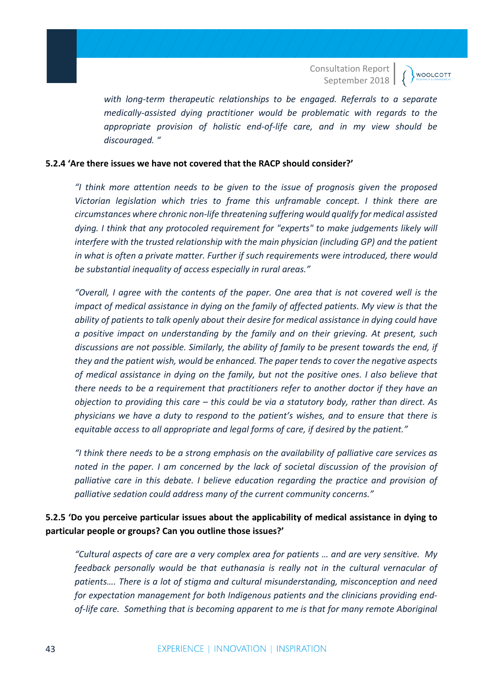**WOOLCOTT** 

*with long-term therapeutic relationships to be engaged. Referrals to a separate medically-assisted dying practitioner would be problematic with regards to the appropriate provision of holistic end-of-life care, and in my view should be discouraged. "*

#### **5.2.4 'Are there issues we have not covered that the RACP should consider?'**

*"I think more attention needs to be given to the issue of prognosis given the proposed Victorian legislation which tries to frame this unframable concept. I think there are circumstances where chronic non-life threatening suffering would qualify for medical assisted dying. I think that any protocoled requirement for "experts" to make judgements likely will interfere with the trusted relationship with the main physician (including GP) and the patient in what is often a private matter. Further if such requirements were introduced, there would be substantial inequality of access especially in rural areas."*

*"Overall, I agree with the contents of the paper. One area that is not covered well is the impact of medical assistance in dying on the family of affected patients. My view is that the ability of patients to talk openly about their desire for medical assistance in dying could have a positive impact on understanding by the family and on their grieving. At present, such discussions are not possible. Similarly, the ability of family to be present towards the end, if they and the patient wish, would be enhanced. The paper tends to cover the negative aspects of medical assistance in dying on the family, but not the positive ones. I also believe that there needs to be a requirement that practitioners refer to another doctor if they have an objection to providing this care – this could be via a statutory body, rather than direct. As physicians we have a duty to respond to the patient's wishes, and to ensure that there is equitable access to all appropriate and legal forms of care, if desired by the patient."*

*"I think there needs to be a strong emphasis on the availability of palliative care services as noted in the paper. I am concerned by the lack of societal discussion of the provision of palliative care in this debate. I believe education regarding the practice and provision of palliative sedation could address many of the current community concerns."*

# **5.2.5 'Do you perceive particular issues about the applicability of medical assistance in dying to particular people or groups? Can you outline those issues?'**

*"Cultural aspects of care are a very complex area for patients … and are very sensitive. My feedback personally would be that euthanasia is really not in the cultural vernacular of patients…. There is a lot of stigma and cultural misunderstanding, misconception and need for expectation management for both Indigenous patients and the clinicians providing endof-life care. Something that is becoming apparent to me is that for many remote Aboriginal*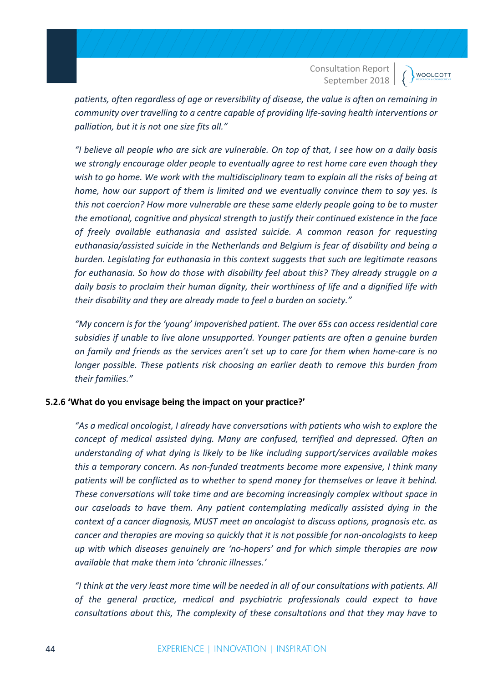*patients, often regardless of age or reversibility of disease, the value is often on remaining in community over travelling to a centre capable of providing life-saving health interventions or palliation, but it is not one size fits all."*

*"I believe all people who are sick are vulnerable. On top of that, I see how on a daily basis we strongly encourage older people to eventually agree to rest home care even though they wish to go home. We work with the multidisciplinary team to explain all the risks of being at home, how our support of them is limited and we eventually convince them to say yes. Is this not coercion? How more vulnerable are these same elderly people going to be to muster the emotional, cognitive and physical strength to justify their continued existence in the face of freely available euthanasia and assisted suicide. A common reason for requesting euthanasia/assisted suicide in the Netherlands and Belgium is fear of disability and being a burden. Legislating for euthanasia in this context suggests that such are legitimate reasons for euthanasia. So how do those with disability feel about this? They already struggle on a daily basis to proclaim their human dignity, their worthiness of life and a dignified life with their disability and they are already made to feel a burden on society."*

*"My concern is for the 'young' impoverished patient. The over 65s can access residential care subsidies if unable to live alone unsupported. Younger patients are often a genuine burden on family and friends as the services aren't set up to care for them when home-care is no longer possible. These patients risk choosing an earlier death to remove this burden from their families."*

#### **5.2.6 'What do you envisage being the impact on your practice?'**

*"As a medical oncologist, I already have conversations with patients who wish to explore the concept of medical assisted dying. Many are confused, terrified and depressed. Often an understanding of what dying is likely to be like including support/services available makes this a temporary concern. As non-funded treatments become more expensive, I think many patients will be conflicted as to whether to spend money for themselves or leave it behind. These conversations will take time and are becoming increasingly complex without space in our caseloads to have them. Any patient contemplating medically assisted dying in the context of a cancer diagnosis, MUST meet an oncologist to discuss options, prognosis etc. as cancer and therapies are moving so quickly that it is not possible for non-oncologists to keep up with which diseases genuinely are 'no-hopers' and for which simple therapies are now available that make them into 'chronic illnesses.'*

*"I think at the very least more time will be needed in all of our consultations with patients. All of the general practice, medical and psychiatric professionals could expect to have consultations about this, The complexity of these consultations and that they may have to*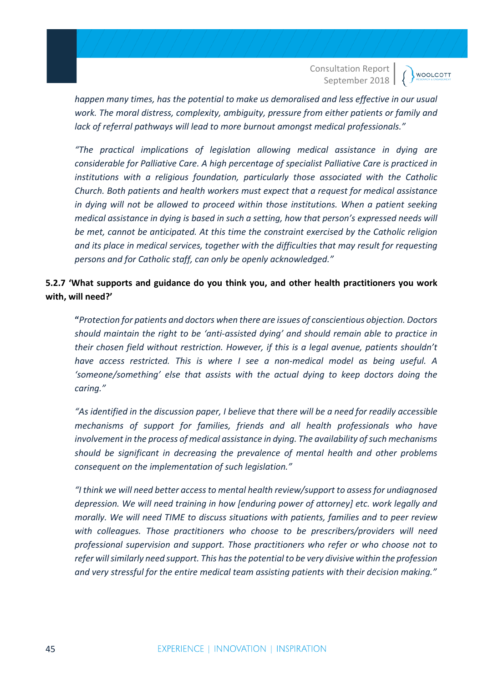*happen many times, has the potential to make us demoralised and less effective in our usual work. The moral distress, complexity, ambiguity, pressure from either patients or family and lack of referral pathways will lead to more burnout amongst medical professionals."*

*"The practical implications of legislation allowing medical assistance in dying are considerable for Palliative Care. A high percentage of specialist Palliative Care is practiced in institutions with a religious foundation, particularly those associated with the Catholic Church. Both patients and health workers must expect that a request for medical assistance in dying will not be allowed to proceed within those institutions. When a patient seeking medical assistance in dying is based in such a setting, how that person's expressed needs will be met, cannot be anticipated. At this time the constraint exercised by the Catholic religion and its place in medical services, together with the difficulties that may result for requesting persons and for Catholic staff, can only be openly acknowledged."*

# **5.2.7 'What supports and guidance do you think you, and other health practitioners you work with, will need?'**

**"***Protection for patients and doctors when there are issues of conscientious objection. Doctors should maintain the right to be 'anti-assisted dying' and should remain able to practice in their chosen field without restriction. However, if this is a legal avenue, patients shouldn't have access restricted. This is where I see a non-medical model as being useful. A 'someone/something' else that assists with the actual dying to keep doctors doing the caring."*

*"As identified in the discussion paper, I believe that there will be a need for readily accessible mechanisms of support for families, friends and all health professionals who have involvement in the process of medical assistance in dying. The availability of such mechanisms should be significant in decreasing the prevalence of mental health and other problems consequent on the implementation of such legislation."*

*"I think we will need better access to mental health review/support to assess for undiagnosed depression. We will need training in how [enduring power of attorney] etc. work legally and morally. We will need TIME to discuss situations with patients, families and to peer review with colleagues. Those practitioners who choose to be prescribers/providers will need professional supervision and support. Those practitioners who refer or who choose not to refer will similarly need support. This has the potential to be very divisive within the profession and very stressful for the entire medical team assisting patients with their decision making."*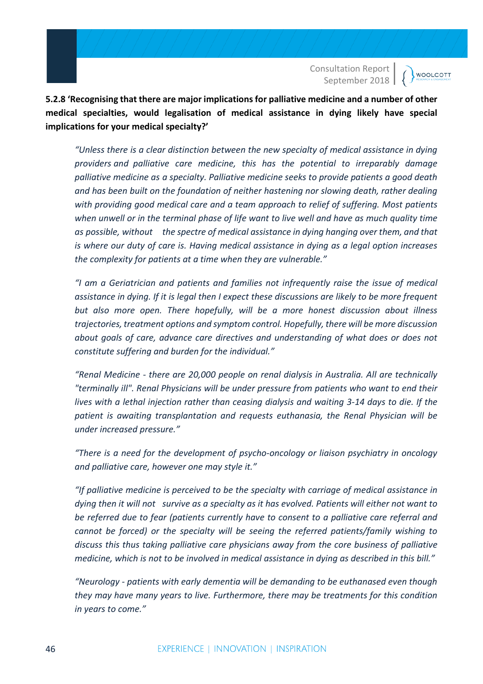**WOOLCOTT** 

**5.2.8 'Recognising that there are major implications for palliative medicine and a number of other medical specialties, would legalisation of medical assistance in dying likely have special implications for your medical specialty?'**

*"Unless there is a clear distinction between the new specialty of medical assistance in dying providers and palliative care medicine, this has the potential to irreparably damage palliative medicine as a specialty. Palliative medicine seeks to provide patients a good death and has been built on the foundation of neither hastening nor slowing death, rather dealing with providing good medical care and a team approach to relief of suffering. Most patients when unwell or in the terminal phase of life want to live well and have as much quality time as possible, without the spectre of medical assistance in dying hanging over them, and that is where our duty of care is. Having medical assistance in dying as a legal option increases the complexity for patients at a time when they are vulnerable."*

*"I am a Geriatrician and patients and families not infrequently raise the issue of medical assistance in dying. If it is legal then I expect these discussions are likely to be more frequent but also more open. There hopefully, will be a more honest discussion about illness trajectories, treatment options and symptom control. Hopefully, there will be more discussion about goals of care, advance care directives and understanding of what does or does not constitute suffering and burden for the individual."*

*"Renal Medicine - there are 20,000 people on renal dialysis in Australia. All are technically "terminally ill". Renal Physicians will be under pressure from patients who want to end their lives with a lethal injection rather than ceasing dialysis and waiting 3-14 days to die. If the patient is awaiting transplantation and requests euthanasia, the Renal Physician will be under increased pressure."*

*"There is a need for the development of psycho-oncology or liaison psychiatry in oncology and palliative care, however one may style it."*

*"If palliative medicine is perceived to be the specialty with carriage of medical assistance in dying then it will not survive as a specialty as it has evolved. Patients will either not want to be referred due to fear (patients currently have to consent to a palliative care referral and cannot be forced) or the specialty will be seeing the referred patients/family wishing to discuss this thus taking palliative care physicians away from the core business of palliative medicine, which is not to be involved in medical assistance in dying as described in this bill."*

*"Neurology - patients with early dementia will be demanding to be euthanased even though they may have many years to live. Furthermore, there may be treatments for this condition in years to come."*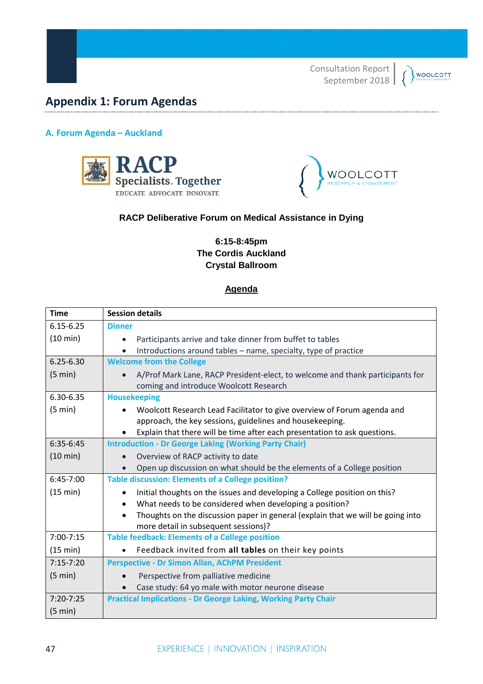### **WOOLCOTT**

# **Appendix 1: Forum Agendas**

#### **A. Forum Agenda – Auckland**





### **RACP Deliberative Forum on Medical Assistance in Dying**

### **6:15-8:45pm The Cordis Auckland Crystal Ballroom**

# **Agenda**

| <b>Time</b>   | <b>Session details</b>                                                                                                              |
|---------------|-------------------------------------------------------------------------------------------------------------------------------------|
| $6.15 - 6.25$ | <b>Dinner</b>                                                                                                                       |
| (10 min)      | Participants arrive and take dinner from buffet to tables<br>$\bullet$                                                              |
|               | Introductions around tables - name, specialty, type of practice<br>$\bullet$                                                        |
| $6.25 - 6.30$ | <b>Welcome from the College</b>                                                                                                     |
| (5 min)       | A/Prof Mark Lane, RACP President-elect, to welcome and thank participants for<br>coming and introduce Woolcott Research             |
| 6.30-6.35     | <b>Housekeeping</b>                                                                                                                 |
| (5 min)       | Woolcott Research Lead Facilitator to give overview of Forum agenda and<br>approach, the key sessions, guidelines and housekeeping. |
|               | Explain that there will be time after each presentation to ask questions.                                                           |
| 6:35-6:45     | <b>Introduction - Dr George Laking (Working Party Chair)</b>                                                                        |
| (10 min)      | Overview of RACP activity to date                                                                                                   |
|               | Open up discussion on what should be the elements of a College position                                                             |
| 6:45-7:00     | <b>Table discussion: Elements of a College position?</b>                                                                            |
| (15 min)      | Initial thoughts on the issues and developing a College position on this?                                                           |
|               | What needs to be considered when developing a position?<br>$\bullet$                                                                |
|               | Thoughts on the discussion paper in general (explain that we will be going into<br>more detail in subsequent sessions)?             |
| $7:00 - 7:15$ | <b>Table feedback: Elements of a College position</b>                                                                               |
| (15 min)      | Feedback invited from all tables on their key points                                                                                |
| $7:15 - 7:20$ | <b>Perspective - Dr Simon Allan, AChPM President</b>                                                                                |
| (5 min)       | Perspective from palliative medicine                                                                                                |
|               | Case study: 64 yo male with motor neurone disease                                                                                   |
| $7:20 - 7:25$ | <b>Practical Implications - Dr George Laking, Working Party Chair</b>                                                               |
| (5 min)       |                                                                                                                                     |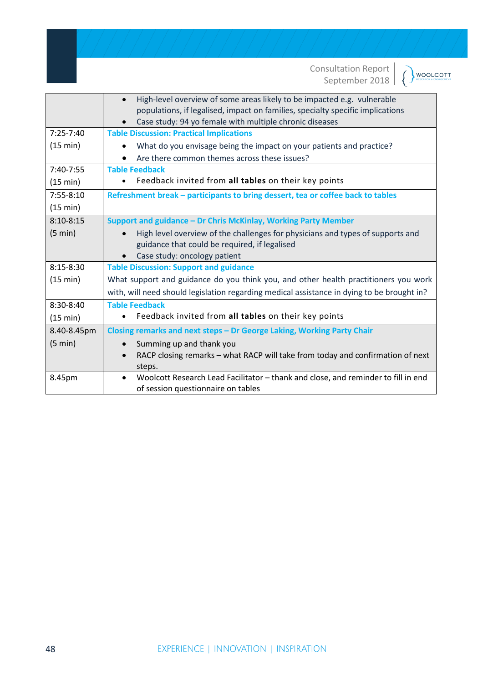WOOLCOTT

|               | High-level overview of some areas likely to be impacted e.g. vulnerable<br>$\bullet$<br>populations, if legalised, impact on families, specialty specific implications<br>Case study: 94 yo female with multiple chronic diseases |
|---------------|-----------------------------------------------------------------------------------------------------------------------------------------------------------------------------------------------------------------------------------|
| $7:25 - 7:40$ | <b>Table Discussion: Practical Implications</b>                                                                                                                                                                                   |
| (15 min)      | What do you envisage being the impact on your patients and practice?                                                                                                                                                              |
|               | Are there common themes across these issues?                                                                                                                                                                                      |
| 7:40-7:55     | <b>Table Feedback</b>                                                                                                                                                                                                             |
| (15 min)      | Feedback invited from all tables on their key points                                                                                                                                                                              |
| 7:55-8:10     | Refreshment break - participants to bring dessert, tea or coffee back to tables                                                                                                                                                   |
| (15 min)      |                                                                                                                                                                                                                                   |
| $8:10 - 8:15$ | Support and guidance - Dr Chris McKinlay, Working Party Member                                                                                                                                                                    |
| (5 min)       | High level overview of the challenges for physicians and types of supports and<br>guidance that could be required, if legalised<br>Case study: oncology patient<br>$\bullet$                                                      |
| $8:15 - 8:30$ | <b>Table Discussion: Support and guidance</b>                                                                                                                                                                                     |
| (15 min)      | What support and guidance do you think you, and other health practitioners you work<br>with, will need should legislation regarding medical assistance in dying to be brought in?                                                 |
| 8:30-8:40     | <b>Table Feedback</b>                                                                                                                                                                                                             |
| (15 min)      | Feedback invited from all tables on their key points<br>$\bullet$                                                                                                                                                                 |
| 8.40-8.45pm   | Closing remarks and next steps - Dr George Laking, Working Party Chair                                                                                                                                                            |
| (5 min)       | Summing up and thank you<br>$\bullet$<br>RACP closing remarks - what RACP will take from today and confirmation of next<br>steps.                                                                                                 |
| 8.45pm        | Woolcott Research Lead Facilitator - thank and close, and reminder to fill in end<br>of session questionnaire on tables                                                                                                           |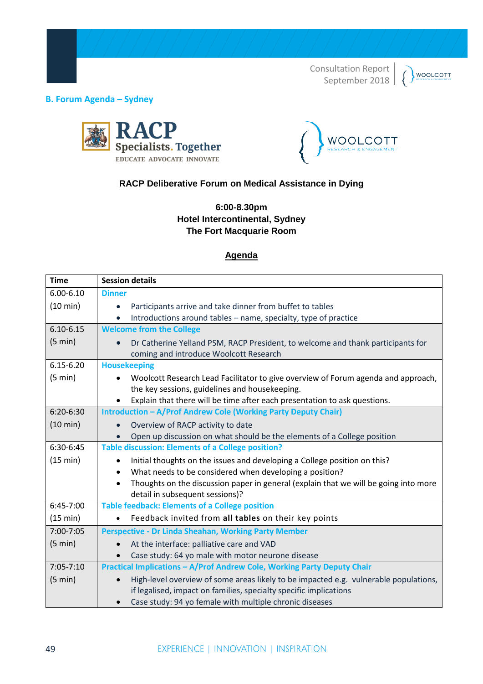

**B. Forum Agenda – Sydney** 





# **RACP Deliberative Forum on Medical Assistance in Dying**

**6:00-8.30pm Hotel Intercontinental, Sydney The Fort Macquarie Room**

### **Agenda**

| <b>Time</b>        | <b>Session details</b>                                                                                                                                                 |
|--------------------|------------------------------------------------------------------------------------------------------------------------------------------------------------------------|
| $6.00 - 6.10$      | <b>Dinner</b>                                                                                                                                                          |
| (10 min)           | Participants arrive and take dinner from buffet to tables<br>$\bullet$                                                                                                 |
|                    | Introductions around tables - name, specialty, type of practice                                                                                                        |
| $6.10 - 6.15$      | <b>Welcome from the College</b>                                                                                                                                        |
| (5 min)            | Dr Catherine Yelland PSM, RACP President, to welcome and thank participants for<br>coming and introduce Woolcott Research                                              |
| $6.15 - 6.20$      | <b>Housekeeping</b>                                                                                                                                                    |
| (5 min)            | Woolcott Research Lead Facilitator to give overview of Forum agenda and approach,<br>the key sessions, guidelines and housekeeping.                                    |
|                    | Explain that there will be time after each presentation to ask questions.                                                                                              |
| 6:20-6:30          | Introduction - A/Prof Andrew Cole (Working Party Deputy Chair)                                                                                                         |
| $(10 \text{ min})$ | Overview of RACP activity to date                                                                                                                                      |
|                    | Open up discussion on what should be the elements of a College position                                                                                                |
| 6:30-6:45          | <b>Table discussion: Elements of a College position?</b>                                                                                                               |
| (15 min)           | Initial thoughts on the issues and developing a College position on this?<br>$\bullet$                                                                                 |
|                    | What needs to be considered when developing a position?<br>$\bullet$                                                                                                   |
|                    | Thoughts on the discussion paper in general (explain that we will be going into more<br>$\bullet$<br>detail in subsequent sessions)?                                   |
| 6:45-7:00          | <b>Table feedback: Elements of a College position</b>                                                                                                                  |
| (15 min)           | Feedback invited from all tables on their key points                                                                                                                   |
| 7:00-7:05          | <b>Perspective - Dr Linda Sheahan, Working Party Member</b>                                                                                                            |
| (5 min)            | At the interface: palliative care and VAD                                                                                                                              |
|                    | Case study: 64 yo male with motor neurone disease                                                                                                                      |
| $7:05 - 7:10$      | Practical Implications - A/Prof Andrew Cole, Working Party Deputy Chair                                                                                                |
| (5 min)            | High-level overview of some areas likely to be impacted e.g. vulnerable populations,<br>$\bullet$<br>if legalised, impact on families, specialty specific implications |
|                    | Case study: 94 yo female with multiple chronic diseases                                                                                                                |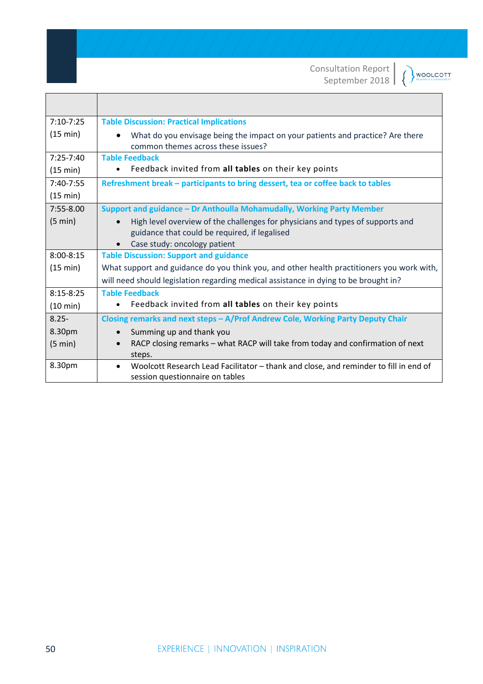| <b>WOOLCOTT</b> |
|-----------------|
|                 |

| $7:10 - 7:25$      | <b>Table Discussion: Practical Implications</b>                                                                                 |
|--------------------|---------------------------------------------------------------------------------------------------------------------------------|
| (15 min)           | What do you envisage being the impact on your patients and practice? Are there<br>common themes across these issues?            |
| $7:25 - 7:40$      | <b>Table Feedback</b>                                                                                                           |
| (15 min)           | Feedback invited from all tables on their key points                                                                            |
| $7:40-7:55$        | Refreshment break - participants to bring dessert, tea or coffee back to tables                                                 |
| (15 min)           |                                                                                                                                 |
| $7:55 - 8.00$      | Support and guidance - Dr Anthoulla Mohamudally, Working Party Member                                                           |
| (5 min)            | High level overview of the challenges for physicians and types of supports and<br>guidance that could be required, if legalised |
|                    | Case study: oncology patient                                                                                                    |
| $8:00 - 8:15$      | <b>Table Discussion: Support and guidance</b>                                                                                   |
| (15 min)           | What support and guidance do you think you, and other health practitioners you work with,                                       |
|                    | will need should legislation regarding medical assistance in dying to be brought in?                                            |
| $8:15 - 8:25$      | <b>Table Feedback</b>                                                                                                           |
| $(10 \text{ min})$ | Feedback invited from all tables on their key points                                                                            |
| $8.25 -$           | Closing remarks and next steps - A/Prof Andrew Cole, Working Party Deputy Chair                                                 |
| 8.30pm             | Summing up and thank you                                                                                                        |
| (5 min)            | RACP closing remarks – what RACP will take from today and confirmation of next                                                  |
|                    | steps.                                                                                                                          |
| 8.30pm             | Woolcott Research Lead Facilitator - thank and close, and reminder to fill in end of<br>session questionnaire on tables         |

 $\mathsf{r}$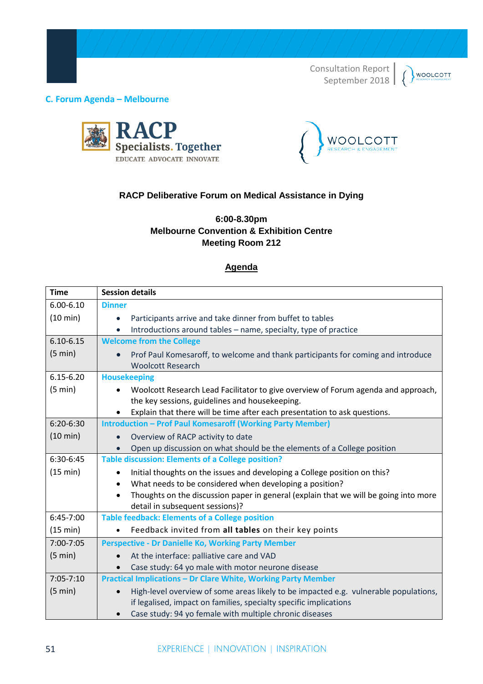# **WOOLCOTT**

#### **C. Forum Agenda – Melbourne**





# **RACP Deliberative Forum on Medical Assistance in Dying**

## **6:00-8.30pm Melbourne Convention & Exhibition Centre Meeting Room 212**

#### **Agenda**

| <b>Time</b>   | <b>Session details</b>                                                                                                                                    |
|---------------|-----------------------------------------------------------------------------------------------------------------------------------------------------------|
| $6.00 - 6.10$ | <b>Dinner</b>                                                                                                                                             |
| (10 min)      | Participants arrive and take dinner from buffet to tables                                                                                                 |
|               | Introductions around tables - name, specialty, type of practice                                                                                           |
| $6.10 - 6.15$ | <b>Welcome from the College</b>                                                                                                                           |
| (5 min)       | Prof Paul Komesaroff, to welcome and thank participants for coming and introduce<br><b>Woolcott Research</b>                                              |
| $6.15 - 6.20$ | <b>Housekeeping</b>                                                                                                                                       |
| (5 min)       | Woolcott Research Lead Facilitator to give overview of Forum agenda and approach,<br>the key sessions, guidelines and housekeeping.                       |
|               | Explain that there will be time after each presentation to ask questions.                                                                                 |
| $6:20-6:30$   | <b>Introduction - Prof Paul Komesaroff (Working Party Member)</b>                                                                                         |
| (10 min)      | Overview of RACP activity to date                                                                                                                         |
|               | Open up discussion on what should be the elements of a College position                                                                                   |
| 6:30-6:45     | <b>Table discussion: Elements of a College position?</b>                                                                                                  |
| (15 min)      | Initial thoughts on the issues and developing a College position on this?                                                                                 |
|               | What needs to be considered when developing a position?<br>$\bullet$                                                                                      |
|               | Thoughts on the discussion paper in general (explain that we will be going into more<br>detail in subsequent sessions)?                                   |
| 6:45-7:00     | <b>Table feedback: Elements of a College position</b>                                                                                                     |
| (15 min)      | Feedback invited from all tables on their key points                                                                                                      |
| 7:00-7:05     | <b>Perspective - Dr Danielle Ko, Working Party Member</b>                                                                                                 |
| (5 min)       | At the interface: palliative care and VAD                                                                                                                 |
|               | Case study: 64 yo male with motor neurone disease                                                                                                         |
| $7:05 - 7:10$ | <b>Practical Implications - Dr Clare White, Working Party Member</b>                                                                                      |
| (5 min)       | High-level overview of some areas likely to be impacted e.g. vulnerable populations,<br>if legalised, impact on families, specialty specific implications |
|               | Case study: 94 yo female with multiple chronic diseases                                                                                                   |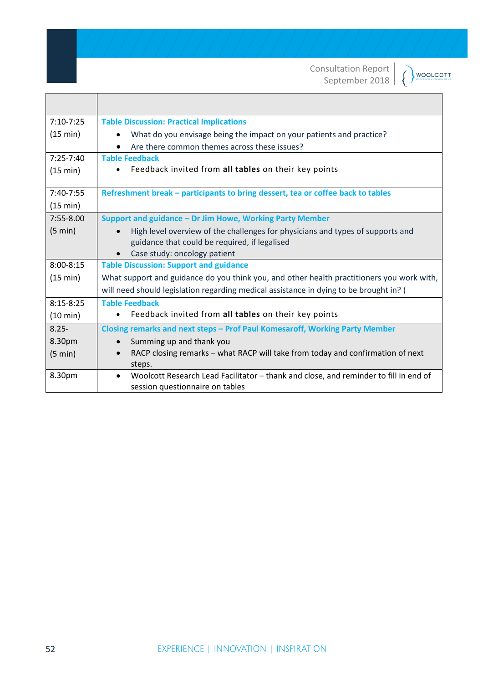**WOOLCOTT** 

| $7:10 - 7:25$      | <b>Table Discussion: Practical Implications</b>                                           |
|--------------------|-------------------------------------------------------------------------------------------|
| (15 min)           | What do you envisage being the impact on your patients and practice?                      |
|                    | Are there common themes across these issues?                                              |
| $7:25 - 7:40$      | <b>Table Feedback</b>                                                                     |
| (15 min)           | Feedback invited from all tables on their key points                                      |
|                    |                                                                                           |
| 7:40-7:55          | Refreshment break – participants to bring dessert, tea or coffee back to tables           |
| (15 min)           |                                                                                           |
| $7:55 - 8.00$      | Support and guidance - Dr Jim Howe, Working Party Member                                  |
| $(5 \text{ min})$  | High level overview of the challenges for physicians and types of supports and            |
|                    | guidance that could be required, if legalised                                             |
|                    | Case study: oncology patient                                                              |
| $8:00 - 8:15$      | <b>Table Discussion: Support and guidance</b>                                             |
| (15 min)           | What support and guidance do you think you, and other health practitioners you work with, |
|                    | will need should legislation regarding medical assistance in dying to be brought in? (    |
| $8:15 - 8:25$      | <b>Table Feedback</b>                                                                     |
| $(10 \text{ min})$ | Feedback invited from all tables on their key points                                      |
| $8.25 -$           | Closing remarks and next steps - Prof Paul Komesaroff, Working Party Member               |

• RACP closing remarks – what RACP will take from today and confirmation of next

8.30pm • Woolcott Research Lead Facilitator – thank and close, and reminder to fill in end of

8.30pm (5 min)

• Summing up and thank you

session questionnaire on tables

steps.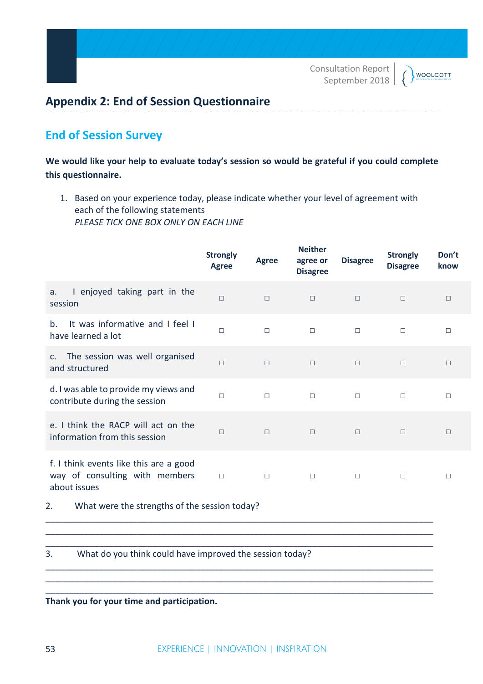# **Appendix 2: End of Session Questionnaire**

# **End of Session Survey**

**We would like your help to evaluate today's session so would be grateful if you could complete this questionnaire.**

1. Based on your experience today, please indicate whether your level of agreement with each of the following statements *PLEASE TICK ONE BOX ONLY ON EACH LINE*

|                                                                                          | <b>Strongly</b><br><b>Agree</b> | <b>Agree</b> | <b>Neither</b><br>agree or<br><b>Disagree</b> | <b>Disagree</b> | <b>Strongly</b><br><b>Disagree</b> | Don't<br>know |
|------------------------------------------------------------------------------------------|---------------------------------|--------------|-----------------------------------------------|-----------------|------------------------------------|---------------|
| I enjoyed taking part in the<br>a.<br>session                                            | П                               | $\Box$       | $\Box$                                        | $\Box$          | $\Box$                             | $\Box$        |
| It was informative and I feel I<br>b.<br>have learned a lot                              | $\Box$                          | $\Box$       | $\Box$                                        | $\Box$          | $\Box$                             | $\Box$        |
| The session was well organised<br>C.<br>and structured                                   | $\Box$                          | $\Box$       | $\Box$                                        | $\Box$          | $\Box$                             | $\Box$        |
| d. I was able to provide my views and<br>contribute during the session                   | $\Box$                          | $\Box$       | $\Box$                                        | $\Box$          | $\Box$                             | $\Box$        |
| e. I think the RACP will act on the<br>information from this session                     | $\Box$                          | $\Box$       | $\Box$                                        | $\Box$          | $\Box$                             | $\Box$        |
| f. I think events like this are a good<br>way of consulting with members<br>about issues | $\Box$                          | $\Box$       | $\Box$                                        | $\Box$          | $\Box$                             | $\Box$        |
| What were the strengths of the session today?<br>2.                                      |                                 |              |                                               |                 |                                    |               |
| 3.<br>What do you think could have improved the session today?                           |                                 |              |                                               |                 |                                    |               |

**Thank you for your time and participation.**

\_\_\_\_\_\_\_\_\_\_\_\_\_\_\_\_\_\_\_\_\_\_\_\_\_\_\_\_\_\_\_\_\_\_\_\_\_\_\_\_\_\_\_\_\_\_\_\_\_\_\_\_\_\_\_\_\_\_\_\_\_\_\_\_\_\_\_\_\_\_\_\_\_\_\_\_\_\_\_\_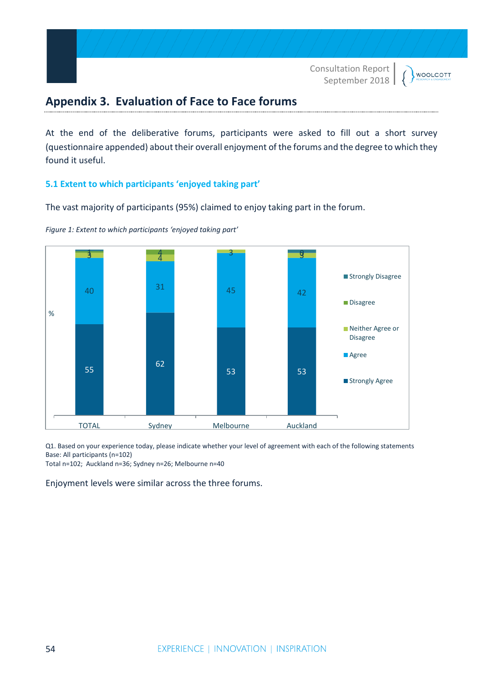**WOOLCOTT** 

# **Appendix 3. Evaluation of Face to Face forums**

At the end of the deliberative forums, participants were asked to fill out a short survey (questionnaire appended) about their overall enjoyment of the forums and the degree to which they found it useful.

#### **5.1 Extent to which participants 'enjoyed taking part'**

The vast majority of participants (95%) claimed to enjoy taking part in the forum.



<span id="page-53-0"></span>*Figure 1: Extent to which participants 'enjoyed taking part'*

Q1. Based on your experience today, please indicate whether your level of agreement with each of the following statements Base: All participants (n=102)

Total n=102; Auckland n=36; Sydney n=26; Melbourne n=40

Enjoyment levels were similar across the three forums.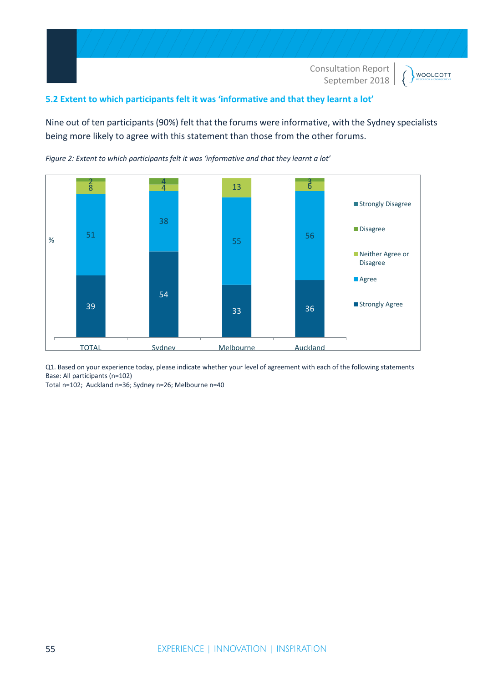

### **5.2 Extent to which participants felt it was 'informative and that they learnt a lot'**

Nine out of ten participants (90%) felt that the forums were informative, with the Sydney specialists being more likely to agree with this statement than those from the other forums.



<span id="page-54-0"></span>*Figure 2: Extent to which participants felt it was 'informative and that they learnt a lot'*

Q1. Based on your experience today, please indicate whether your level of agreement with each of the following statements Base: All participants (n=102)

Total n=102; Auckland n=36; Sydney n=26; Melbourne n=40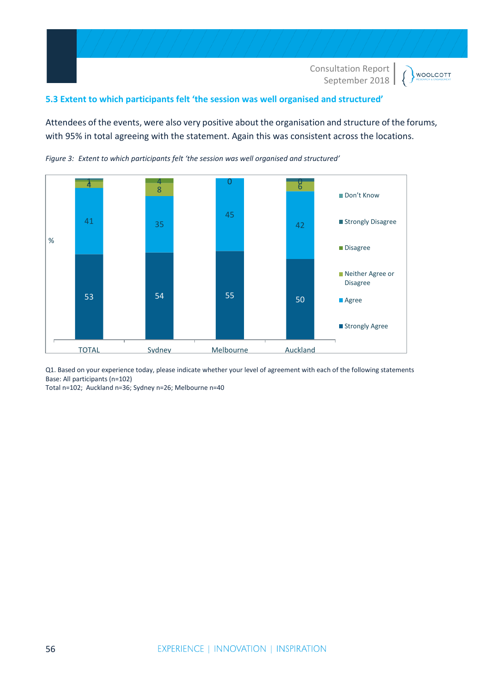**WOOLCOTT** 

#### **5.3 Extent to which participants felt 'the session was well organised and structured'**

Attendees of the events, were also very positive about the organisation and structure of the forums, with 95% in total agreeing with the statement. Again this was consistent across the locations.



<span id="page-55-0"></span>*Figure 3: Extent to which participants felt 'the session was well organised and structured'*

Q1. Based on your experience today, please indicate whether your level of agreement with each of the following statements Base: All participants (n=102)

Total n=102; Auckland n=36; Sydney n=26; Melbourne n=40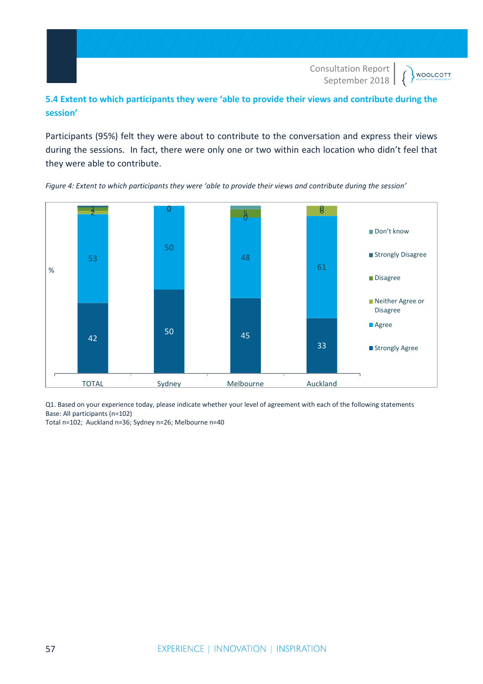# **5.4 Extent to which participants they were 'able to provide their views and contribute during the session'**

Participants (95%) felt they were about to contribute to the conversation and express their views during the sessions. In fact, there were only one or two within each location who didn't feel that they were able to contribute.



<span id="page-56-0"></span>*Figure 4: Extent to which participants they were 'able to provide their views and contribute during the session'*

Q1. Based on your experience today, please indicate whether your level of agreement with each of the following statements Base: All participants (n=102)

Total n=102; Auckland n=36; Sydney n=26; Melbourne n=40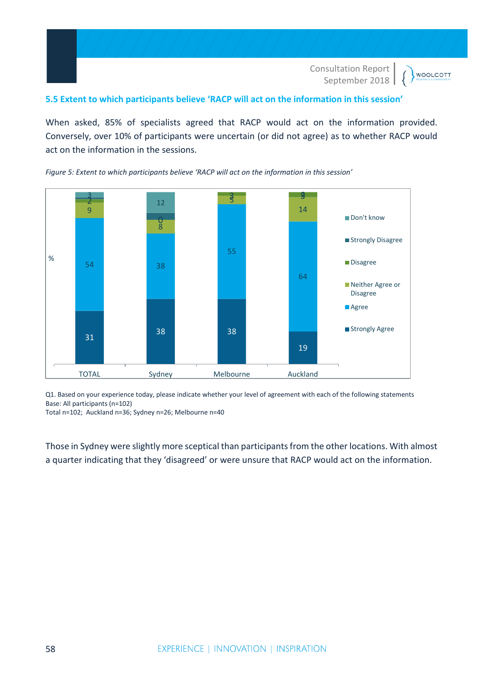

### **5.5 Extent to which participants believe 'RACP will act on the information in this session'**

When asked, 85% of specialists agreed that RACP would act on the information provided. Conversely, over 10% of participants were uncertain (or did not agree) as to whether RACP would act on the information in the sessions.



<span id="page-57-0"></span>*Figure 5: Extent to which participants believe 'RACP will act on the information in this session'*

Q1. Based on your experience today, please indicate whether your level of agreement with each of the following statements Base: All participants (n=102)

Total n=102; Auckland n=36; Sydney n=26; Melbourne n=40

Those in Sydney were slightly more sceptical than participants from the other locations. With almost a quarter indicating that they 'disagreed' or were unsure that RACP would act on the information.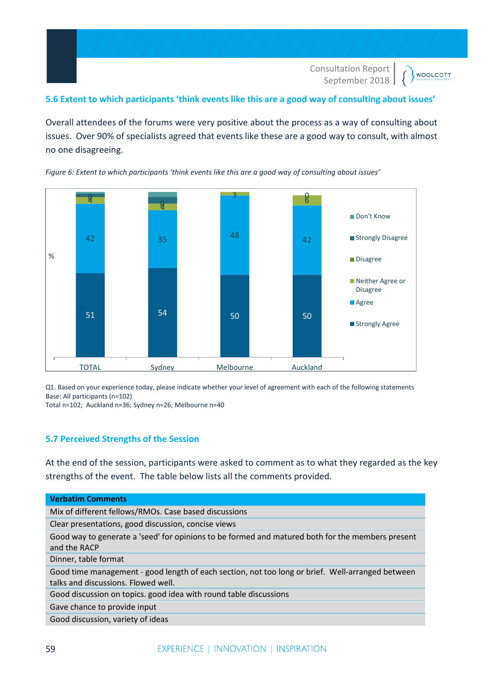

#### **5.6 Extent to which participants 'think events like this are a good way of consulting about issues'**

Overall attendees of the forums were very positive about the process as a way of consulting about issues. Over 90% of specialists agreed that events like these are a good way to consult, with almost no one disagreeing.



<span id="page-58-0"></span>*Figure 6: Extent to which participants 'think events like this are a good way of consulting about issues'*

Q1. Based on your experience today, please indicate whether your level of agreement with each of the following statements Base: All participants (n=102)

Total n=102; Auckland n=36; Sydney n=26; Melbourne n=40

#### **5.7 Perceived Strengths of the Session**

At the end of the session, participants were asked to comment as to what they regarded as the key strengths of the event. The table below lists all the comments provided.

| <b>Verbatim Comments</b>                                                                                                                |
|-----------------------------------------------------------------------------------------------------------------------------------------|
| Mix of different fellows/RMOs. Case based discussions                                                                                   |
| Clear presentations, good discussion, concise views                                                                                     |
| Good way to generate a 'seed' for opinions to be formed and matured both for the members present<br>and the RACP                        |
| Dinner, table format                                                                                                                    |
| Good time management - good length of each section, not too long or brief. Well-arranged between<br>talks and discussions. Flowed well. |
| Good discussion on topics. good idea with round table discussions                                                                       |
| Gave chance to provide input                                                                                                            |

Good discussion, variety of ideas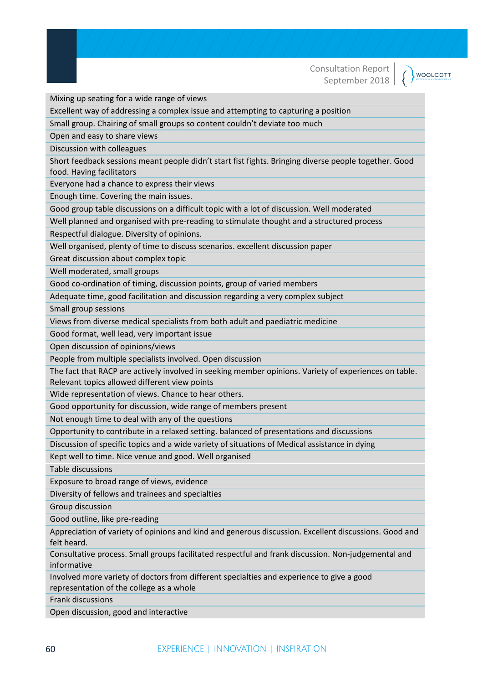Mixing up seating for a wide range of views

Excellent way of addressing a complex issue and attempting to capturing a position

Small group. Chairing of small groups so content couldn't deviate too much

Open and easy to share views

Discussion with colleagues

Short feedback sessions meant people didn't start fist fights. Bringing diverse people together. Good food. Having facilitators

Everyone had a chance to express their views

Enough time. Covering the main issues.

Good group table discussions on a difficult topic with a lot of discussion. Well moderated

Well planned and organised with pre-reading to stimulate thought and a structured process

Respectful dialogue. Diversity of opinions.

Well organised, plenty of time to discuss scenarios. excellent discussion paper

Great discussion about complex topic

Well moderated, small groups

Good co-ordination of timing, discussion points, group of varied members

Adequate time, good facilitation and discussion regarding a very complex subject

Small group sessions

Views from diverse medical specialists from both adult and paediatric medicine

Good format, well lead, very important issue

Open discussion of opinions/views

People from multiple specialists involved. Open discussion

The fact that RACP are actively involved in seeking member opinions. Variety of experiences on table. Relevant topics allowed different view points

Wide representation of views. Chance to hear others.

Good opportunity for discussion, wide range of members present

Not enough time to deal with any of the questions

Opportunity to contribute in a relaxed setting. balanced of presentations and discussions

Discussion of specific topics and a wide variety of situations of Medical assistance in dying

Kept well to time. Nice venue and good. Well organised

Table discussions

Exposure to broad range of views, evidence

Diversity of fellows and trainees and specialties

Group discussion

Good outline, like pre-reading

Appreciation of variety of opinions and kind and generous discussion. Excellent discussions. Good and felt heard.

Consultative process. Small groups facilitated respectful and frank discussion. Non-judgemental and informative

Involved more variety of doctors from different specialties and experience to give a good representation of the college as a whole

Frank discussions

Open discussion, good and interactive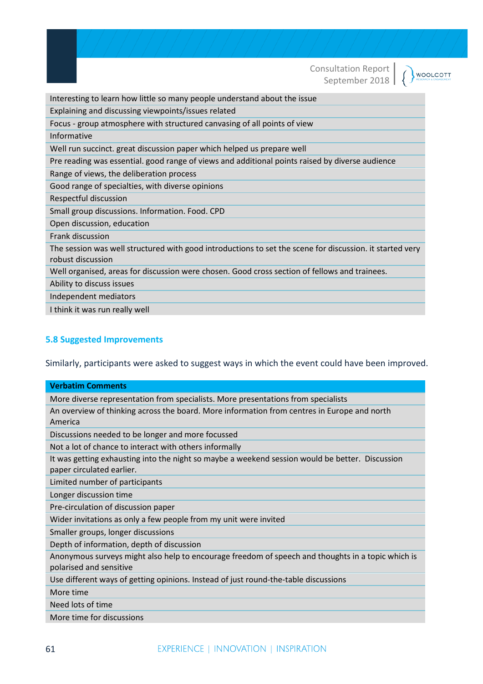WOOLCOTT

Interesting to learn how little so many people understand about the issue

Explaining and discussing viewpoints/issues related

Focus - group atmosphere with structured canvasing of all points of view

Informative

Well run succinct. great discussion paper which helped us prepare well

Pre reading was essential. good range of views and additional points raised by diverse audience

Range of views, the deliberation process

Good range of specialties, with diverse opinions

Respectful discussion

Small group discussions. Information. Food. CPD

Open discussion, education

Frank discussion

The session was well structured with good introductions to set the scene for discussion. it started very robust discussion

Well organised, areas for discussion were chosen. Good cross section of fellows and trainees.

Ability to discuss issues

Independent mediators

I think it was run really well

#### **5.8 Suggested Improvements**

Similarly, participants were asked to suggest ways in which the event could have been improved.

| <b>Verbatim Comments</b>                                                                          |
|---------------------------------------------------------------------------------------------------|
| More diverse representation from specialists. More presentations from specialists                 |
| An overview of thinking across the board. More information from centres in Europe and north       |
| America                                                                                           |
| Discussions needed to be longer and more focussed                                                 |
| Not a lot of chance to interact with others informally                                            |
| It was getting exhausting into the night so maybe a weekend session would be better. Discussion   |
| paper circulated earlier.                                                                         |
| Limited number of participants                                                                    |
| Longer discussion time                                                                            |
| Pre-circulation of discussion paper                                                               |
| Wider invitations as only a few people from my unit were invited                                  |
| Smaller groups, longer discussions                                                                |
| Depth of information, depth of discussion                                                         |
| Anonymous surveys might also help to encourage freedom of speech and thoughts in a topic which is |
| polarised and sensitive                                                                           |
| Use different ways of getting opinions. Instead of just round-the-table discussions               |
| More time                                                                                         |
| Need lots of time                                                                                 |
| More time for discussions                                                                         |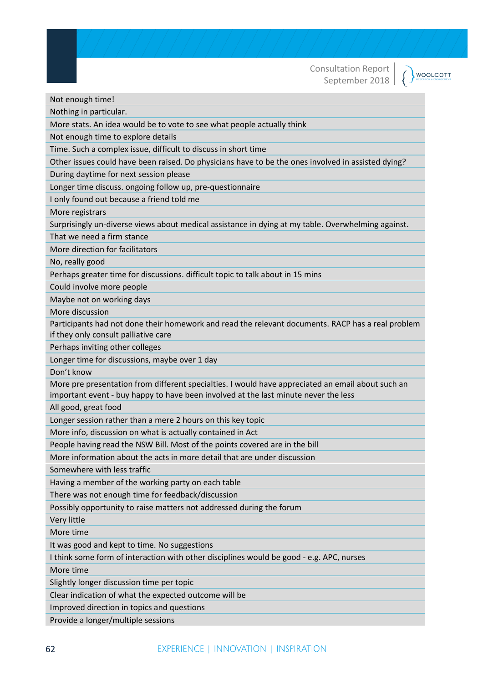( WOOLCOTT

Not enough time!

Nothing in particular.

More stats. An idea would be to vote to see what people actually think

Not enough time to explore details

Time. Such a complex issue, difficult to discuss in short time

Other issues could have been raised. Do physicians have to be the ones involved in assisted dying?

During daytime for next session please

Longer time discuss. ongoing follow up, pre-questionnaire

I only found out because a friend told me

More registrars

Surprisingly un-diverse views about medical assistance in dying at my table. Overwhelming against.

That we need a firm stance

More direction for facilitators

No, really good

Perhaps greater time for discussions. difficult topic to talk about in 15 mins

Could involve more people

Maybe not on working days

More discussion

Participants had not done their homework and read the relevant documents. RACP has a real problem if they only consult palliative care

Perhaps inviting other colleges

Longer time for discussions, maybe over 1 day

Don't know

More pre presentation from different specialties. I would have appreciated an email about such an important event - buy happy to have been involved at the last minute never the less

All good, great food

Longer session rather than a mere 2 hours on this key topic

More info, discussion on what is actually contained in Act

People having read the NSW Bill. Most of the points covered are in the bill

More information about the acts in more detail that are under discussion

Somewhere with less traffic

Having a member of the working party on each table

There was not enough time for feedback/discussion

Possibly opportunity to raise matters not addressed during the forum

Very little

More time

It was good and kept to time. No suggestions

I think some form of interaction with other disciplines would be good - e.g. APC, nurses

More time

Slightly longer discussion time per topic

Clear indication of what the expected outcome will be

Improved direction in topics and questions

Provide a longer/multiple sessions